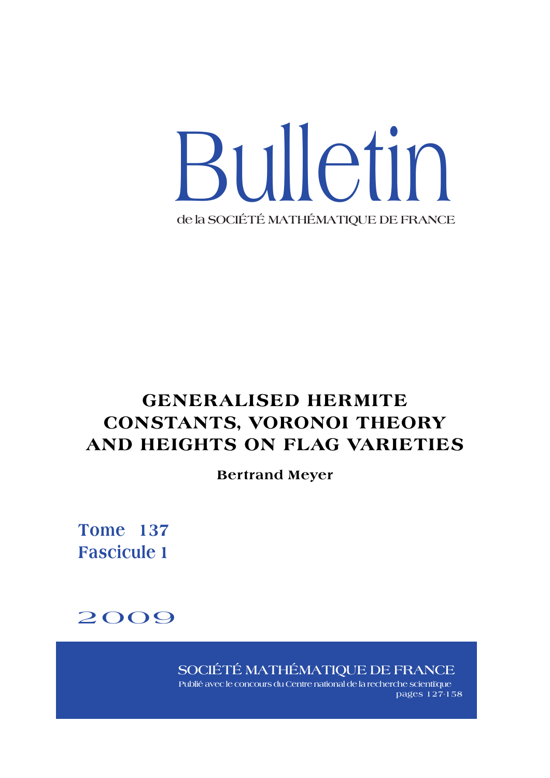

# **GENERALISED HERMITE CONSTANTS, VORONOI THEORY AND HEIGHTS ON FLAG VARIETIES**

**Bertrand Meyer**

**Tome 137 Fascicule 1**



**SOCIÉTÉ MATHÉMATIQUE DE FRANCE**

**Publié avec le concours du Centre national de la recherche scienti�que pages 127-158**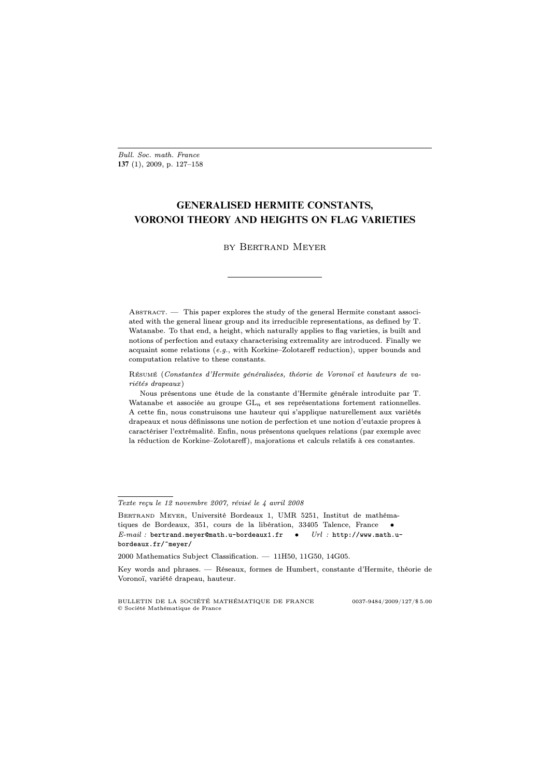## **GENERALISED HERMITE CONSTANTS, VORONOI THEORY AND HEIGHTS ON FLAG VARIETIES**

## by Bertrand Meyer

ABSTRACT. — This paper explores the study of the general Hermite constant associated with the general linear group and its irreducible representations, as defined by T. Watanabe. To that end, a height, which naturally applies to flag varieties, is built and notions of perfection and eutaxy characterising extremality are introduced. Finally we acquaint some relations  $(e.g.,$  with Korkine–Zolotareff reduction), upper bounds and computation relative to these constants.

Résumé (Constantes d'Hermite généralisées, théorie de Voronoï et hauteurs de variétés drapeaux )

Nous présentons une étude de la constante d'Hermite générale introduite par T. Watanabe et associée au groupe  $GL_n$  et ses représentations fortement rationnelles. A cette fin, nous construisons une hauteur qui s'applique naturellement aux variétés drapeaux et nous définissons une notion de perfection et une notion d'eutaxie propres à caractériser l'extrêmalité. Enfin, nous présentons quelques relations (par exemple avec la réduction de Korkine–Zolotareff), majorations et calculs relatifs à ces constantes.

Texte reçu le 12 novembre 2007, révisé le 4 avril 2008

BERTRAND MEYER, Université Bordeaux 1, UMR 5251, Institut de mathématiques de Bordeaux, 351, cours de la libération, 33405 Talence, France •  $E-mail:$  bertrand.meyer@math.u-bordeaux1.fr  $\bullet$   $Url:$  http://www.math.ubordeaux.fr/~meyer/

<sup>2000</sup> Mathematics Subject Classification. — 11H50, 11G50, 14G05.

Key words and phrases. — Réseaux, formes de Humbert, constante d'Hermite, théorie de Voronoï, variété drapeau, hauteur.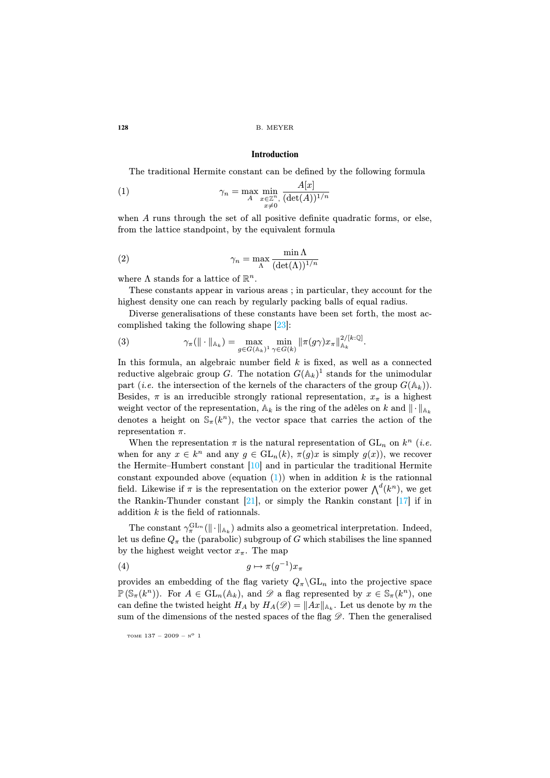#### **Introduction**

The traditional Hermite constant can be defined by the following formula

(1) 
$$
\gamma_n = \max_{\substack{A \\ A}} \min_{\substack{x \in \mathbb{Z}^n, \\ x \neq 0}} \frac{A[x]}{(\det(A))^{1/n}}
$$

when A runs through the set of all positive definite quadratic forms, or else, from the lattice standpoint, by the equivalent formula

<span id="page-2-1"></span>(2) 
$$
\gamma_n = \max_{\Lambda} \frac{\min \Lambda}{(\det(\Lambda))^{1/n}}
$$

where  $\Lambda$  stands for a lattice of  $\mathbb{R}^n$ .

These constants appear in various areas ; in particular, they account for the highest density one can reach by regularly packing balls of equal radius.

Diverse generalisations of these constants have been set forth, the most accomplished taking the following shape [23]:

(3) 
$$
\gamma_{\pi}(\|\cdot\|_{\mathbb{A}_k}) = \max_{g \in G(\mathbb{A}_k)^1} \min_{\gamma \in G(k)} \|\pi(g\gamma)x_{\pi}\|_{\mathbb{A}_k}^{2/[k:\mathbb{Q}]}.
$$

In this formula, an algebraic number field  $k$  is fixed, as well as a connected reductive algeb[raic](#page-31-0) group G. The notation  $G(\mathbb{A}_k)^1$  stands for the unimodular part (*i.e.* the intersection of the kernels of the characters of the group  $G(\mathbb{A}_k)$ ). Besides,  $\pi$  is an irre[du](#page-2-0)cible strongly rational representation,  $x_{\pi}$  is a highest weight vector of the representation,  $A_k$  is the ring of the adèles on k and  $\|\cdot\|_{A_k}$ denotes a hei[ght](#page-32-0) on  $\mathbb{S}_{\pi}(k^n)$ , the vector space that [ca](#page-31-1)rries the action of the representation  $\pi$ .

<span id="page-2-2"></span>When the representation  $\pi$  is the natural representation of  $GL_n$  on  $k^n$  (*i.e.* when for any  $x \in k^n$  and any  $g \in GL_n(k)$ ,  $\pi(g)x$  is simply  $g(x)$ , we recover the Hermite–Humbert constant [10] and in particular the traditional Hermite constant expounded above (equation  $(1)$ ) when in addition k is the rationnal field. Likewise if  $\pi$  is the representation on the exterior power  $\bigwedge^d (k^n)$ , we get the Rankin-Thunder constant  $[21]$ , or simply the Rankin constant  $[17]$  if in addition  $k$  is the field of rationnals.

The constant  $\gamma_{\pi}^{\text{GL}_{n}}(\|\cdot\|_{\mathbb{A}_{k}})$  admits also a geometrical interpretation. Indeed, let us define  $Q_{\pi}$  the (parabolic) subgroup of G which stabilises the line spanned by the highest weight vector  $x_{\pi}$ . The map

$$
(4) \t\t\t g \mapsto \pi(g^{-1})x_{\pi}
$$

provides an embedding of the flag variety  $Q_{\pi} \backslash GL_n$  into the projective space  $\mathbb{P}(\mathbb{S}_{\pi}(k^n))$ . For  $A \in GL_n(\mathbb{A}_k)$ , and  $\mathscr{D}$  a flag represented by  $x \in \mathbb{S}_{\pi}(k^n)$ , one can define the twisted height  $H_A$  by  $H_A(\mathscr{D}) = ||Ax||_{\mathbb{A}_k}$ . Let us denote by m the sum of the dimensions of the nested spaces of the flag  $\mathscr{D}$ . Then the generalised

<span id="page-2-0"></span>

TOME  $137 - 2009 - N^0$  1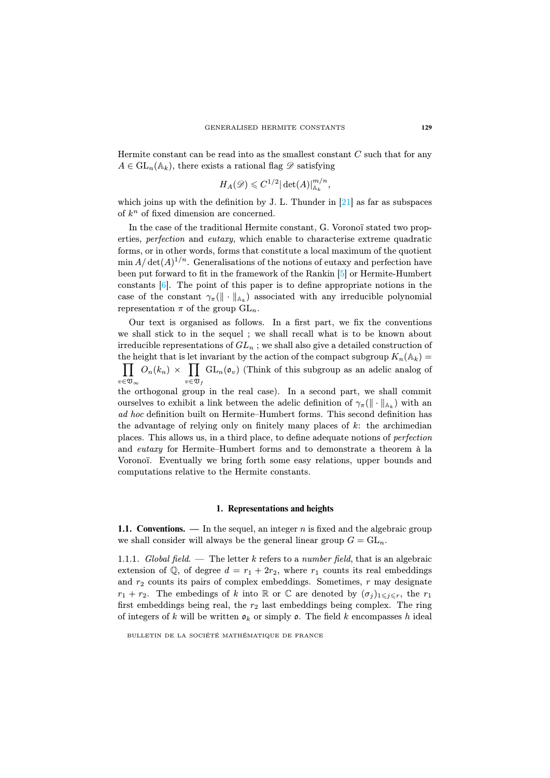Hermite constant can be read into as the smallest constant  $C$  such that for any  $A \in GL_n(\mathbb{A}_k)$ , there exists a rational flag  $\mathscr D$  satisfying

$$
H_A(\mathscr{D}) \leqslant C^{1/2} |\det(A)|_{\mathbb{A}_k}^{m/n},
$$

which joins up with the definition by J. L. Thunder in  $[21]$  as far as subspaces of  $k^n$  of fixed dimension are concerned.

In the case of the traditional Hermite constant, G. Voronoï stated two properties, perfection and eutaxy, which enable to characterise extreme quadratic forms, or in other words, forms that constitute a local maximum of the quotient  $\min A/\det(A)^{1/n}$ . Generalisations of the notions of eutaxy and perfection have been put forward to fit in the framework of the Rankin [5] or Hermite-Humbert constants [6]. The point of this paper is to define appropriate notions in the case of the constant  $\gamma_{\pi}(\|\cdot\|_{A_k})$  associated with any irreducible polynomial representation  $\pi$  of the group  $GL_n$ .

Our text is organised as follows. In a first part, we fix the conventions we shall stick to in the sequel ; we shall recall what is to be known about irreducible representations of  $GL_n$ ; we shall also give a detailed construction of the height that is let invariant by the action of the compact subgroup  $K_n(\mathbb{A}_k) =$  $\prod O_n(k_n) \times \prod \text{GL}_n(\mathfrak{o}_v)$  (Think of this subgroup as an adelic analog of  $v \in \mathfrak{V}_\infty$  $v \in \overline{\mathfrak{V}}_f$ 

the orthogonal group in the real case). In a second part, we shall commit ourselves to exhibit a link between the adelic definition of  $\gamma_{\pi}(\|\cdot\|_{\mathbb{A}_k})$  with an ad hoc definition built on Hermite–Humbert forms. This second definition has the advantage of relying only on finitely many places of  $k$ : the archimedian places. This allows us, in a third place, to define adequate notions of perfection and eutaxy for Hermite–Humbert forms and to demonstrate a theorem à la Voronoï. Eventually we bring forth some easy relations, upper bounds and computations relative to the Hermite constants.

#### **1. Representations and heights**

**1.1. Conventions.** — In the sequel, an integer n is fixed and the algebraic group we shall consider will always be the general linear group  $G = GL_n$ .

1.1.1. Global field. — The letter k refers to a number field, that is an algebraic extension of Q, of degree  $d = r_1 + 2r_2$ , where  $r_1$  counts its real embeddings and  $r_2$  counts its pairs of complex embeddings. Sometimes,  $r$  may designate  $r_1 + r_2$ . The embedings of k into R or C are denoted by  $(\sigma_i)_{1 \leq i \leq r}$ , the  $r_1$ first embeddings being real, the  $r_2$  last embeddings being complex. The ring of integers of k will be written  $\rho_k$  or simply  $\rho$ . The field k encompasses h ideal

BULLETIN DE LA SOCIÉTÉ MATHÉMATIQUE DE FRANCE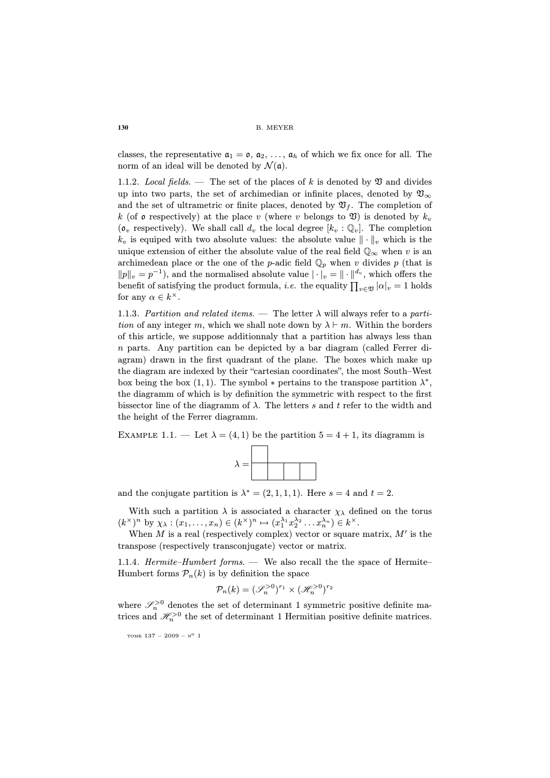classes, the representative  $a_1 = o$ ,  $a_2, \ldots, a_h$  of which we fix once for all. The norm of an ideal will be denoted by  $\mathcal{N}(\mathfrak{a})$ .

1.1.2. Local fields. — The set of the places of k is denoted by  $\mathfrak V$  and divides up into two parts, the set of archimedian or infinite places, denoted by  $\mathfrak{V}_{\infty}$ and the set of ultrametric or finite places, denoted by  $\mathfrak{V}_f$ . The completion of k (of  $\mathfrak o$  respectively) at the place v (where v belongs to  $\mathfrak V$ ) is denoted by  $k_v$  $(\mathfrak{o}_v$  respectively). We shall call  $d_v$  the local degree  $[k_v : \mathbb{Q}_v]$ . The completion  $k_v$  is equiped with two absolute values: the absolute value  $\|\cdot\|_v$  which is the unique extension of either the absolute value of the real field  $\mathbb{Q}_{\infty}$  when v is an archimedean place or the one of the p-adic field  $\mathbb{Q}_p$  when v divides p (that is  $||p||_v = p^{-1}$ , and the normalised absolute value  $|\cdot|_v = ||\cdot||^{d_v}$ , which offers the benefit of satisfying the product formula, *i.e.* the equality  $\prod_{v \in \mathfrak{V}} |\alpha|_v = 1$  holds for any  $\alpha \in k^{\times}$ .

1.1.3. Partition and related items. — The letter  $\lambda$  will always refer to a partition of any integer m, which we shall note down by  $\lambda \vdash m$ . Within the borders of this article, we suppose additionnaly that a partition has always less than n parts. Any partition can be depicted by a bar diagram (called Ferrer diagram) drawn in the first quadrant of the plane. The boxes which make up the diagram are indexed by their "cartesian coordinates", the most South–West box being the box (1, 1). The symbol  $*$  pertains to the transpose partition  $\lambda^*$ , the diagramm of which is by definition the symmetric with respect to the first bissector line of the diagramm of  $\lambda$ . The letters s and t refer to the width and the height of the Ferrer diagramm.

EXAMPLE 1.1. — Let  $\lambda = (4, 1)$  be the partition  $5 = 4 + 1$ , its diagramm is



and the conjugate partition is  $\lambda^* = (2, 1, 1, 1)$ . Here  $s = 4$  and  $t = 2$ .

With such a partition  $\lambda$  is associated a character  $\chi_{\lambda}$  defined on the torus  $(k^{\times})^n$  by  $\chi_{\lambda} : (x_1, \ldots, x_n) \in (k^{\times})^n \mapsto (x_1^{\lambda_1} x_2^{\lambda_2} \ldots x_n^{\lambda_n}) \in k^{\times}$ .

When  $M$  is a real (respectively complex) vector or square matrix,  $M'$  is the transpose (respectively transconjugate) vector or matrix.

1.1.4. Hermite–Humbert forms. — We also recall the the space of Hermite– Humbert forms  $\mathcal{P}_n(k)$  is by definition the space

$$
\mathcal{P}_n(k) = (\mathcal{S}_n^{>0})^{r_1} \times (\mathcal{H}_n^{>0})^{r_2}
$$

where  $\mathscr{S}_n^{>0}$  denotes the set of determinant 1 symmetric positive definite matrices and  $\mathcal{H}_n^{>0}$  the set of determinant 1 Hermitian positive definite matrices.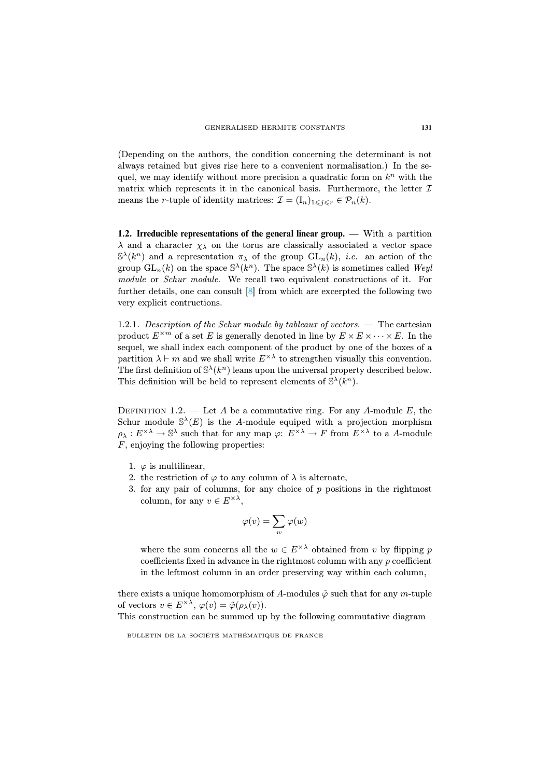(Depending on the authors, the condition concerning the determinant is not always retained but gives rise here to a convenient normalisation.) In the sequel, we may identify without more precision a quadratic form on  $k^n$  with the matrix which represents it in the canonical basis. Furthermore, the letter  $\mathcal I$ means the *r*-tu[pl](#page-31-3)e of identity matrices:  $\mathcal{I} = (I_n)_{1 \leq i \leq r} \in \mathcal{P}_n(k)$ .

**1.2. Irreducible representations of the general linear group. —** With a partition  $\lambda$  and a character  $\chi_{\lambda}$  on the torus are classically associated a vector space  $\mathbb{S}^{\lambda}(k^n)$  and a representation  $\pi_{\lambda}$  of the group  $\mathrm{GL}_n(k)$ , *i.e.* an action of the group  $\text{GL}_n(k)$  on the space  $\mathbb{S}^{\lambda}(k^n)$ . The space  $\mathbb{S}^{\lambda}(k)$  is sometimes called Weyl module or *Schur module*. We recall two equivalent constructions of it. For further details, one can consult [8] from which are excerpted the following two very explicit contructions.

1.2.1. Description of the Schur module by tableaux of vectors. — The cartesian product  $E^{\times m}$  of a set E is generally denoted in line by  $E \times E \times \cdots \times E$ . In the sequel, we shall index each component of the product by one of the boxes of a partition  $\lambda \vdash m$  and we shall write  $E^{\times \lambda}$  to strengthen visually this convention. The first definition of  $\mathbb{S}^{\lambda}(k^n)$  leans upon the universal property described below. This definition will be held to represent elements of  $\mathbb{S}^{\lambda}(k^{n})$ .

DEFINITION 1.2. — Let A be a commutative ring. For any A-module E, the Schur module  $\mathbb{S}^{\lambda}(E)$  is the A-module equiped with a projection morphism  $\rho_{\lambda}: E^{\times\lambda}\to \mathbb{S}^{\lambda}$  such that for any map  $\varphi: E^{\times\lambda}\to F$  from  $E^{\times\lambda}$  to a A-module  $F$ , enjoying the following properties:

- 1.  $\varphi$  is multilinear,
- 2. the restriction of  $\varphi$  to any column of  $\lambda$  is alternate,
- 3. for any pair of columns, for any choice of  $p$  positions in the rightmost column, for any  $v \in E^{\times \lambda}$ ,

$$
\varphi(v)=\sum_w \varphi(w)
$$

where the sum concerns all the  $w \in E^{\times \lambda}$  obtained from v by flipping p coefficients fixed in advance in the rightmost column with any p coefficient in the leftmost column in an order preserving way within each column,

there exists a unique homomorphism of A-modules  $\tilde{\varphi}$  such that for any m-tuple of vectors  $v \in E^{\times \lambda}$ ,  $\varphi(v) = \tilde{\varphi}(\rho_{\lambda}(v))$ .

This construction can be summed up by the following commutative diagram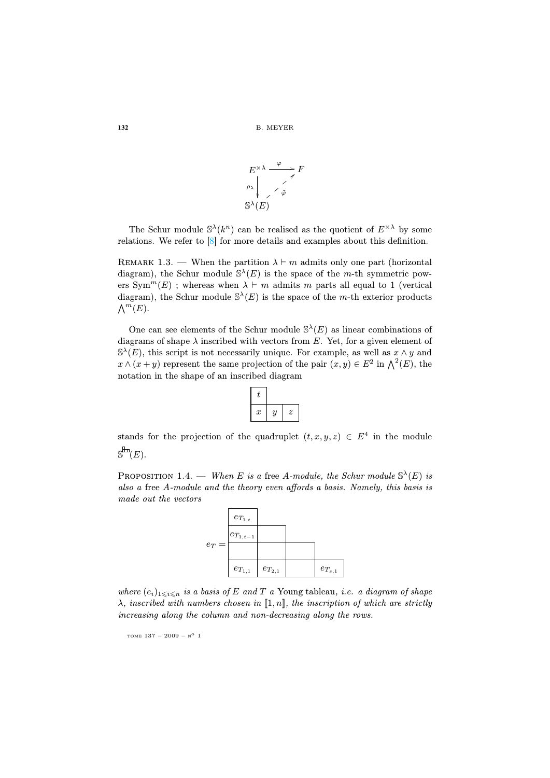

The Schur module  $\mathbb{S}^{\lambda}(k^n)$  can be realised as the quotient of  $E^{\times \lambda}$  by some relations. We refer to [8] for more details and examples about this definition.

REMARK 1.3. — When the partition  $\lambda \vdash m$  admits only one part (horizontal diagram), the Schur module  $\mathbb{S}^{\lambda}(E)$  is the space of the *m*-th symmetric powers  $Sym^m(E)$ ; whereas when  $\lambda \vdash m$  admits m parts all equal to 1 (vertical diagram), the Schur module  $\mathbb{S}^{\lambda}(E)$  is the space of the m-th exterior products  $\bigwedge^m(E)$ .

One can see elements of the Schur module  $\mathbb{S}^{\lambda}(E)$  as linear combinations of diagrams of shape  $\lambda$  inscribed with vectors from E. Yet, for a given element of  $\mathbb{S}^{\lambda}(E)$ , this script is not necessarily unique. For example, as well as  $x \wedge y$  and  $x \wedge (x+y)$  represent the same projection of the pair  $(x, y) \in E^2$  in  $\bigwedge^2(E)$ , the notation in the shape of an inscribed diagram

| $\boldsymbol{x}$ | $\boldsymbol{y}$ | $\boldsymbol{z}$ |
|------------------|------------------|------------------|

stands for the projection of the quadruplet  $(t, x, y, z) \in E^4$  in the module  $\mathbb{S}^{\text{Hm}}(E).$ 

PROPOSITION 1.4. — When E is a free A-module, the Schur module  $\mathbb{S}^{\lambda}(E)$  is also a free A-module and the theory even affords a basis. Namely, this basis is made out the vectors



where  $(e_i)_{1\leq i\leq n}$  is a basis of E and T a Young tableau, i.e. a diagram of shape  $\lambda$ , inscribed with numbers chosen in [1, n], the inscription of which are strictly increasing along the column and non-decreasing along the rows.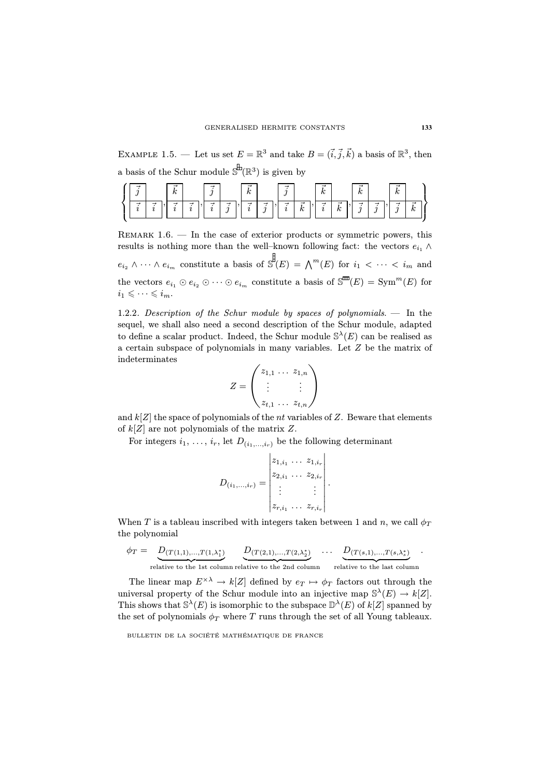EXAMPLE 1.5. — Let us set  $E = \mathbb{R}^3$  and take  $B = (\vec{i}, \vec{j}, \vec{k})$  a basis of  $\mathbb{R}^3$ , then a basis of the Schur module  $\mathbb{S}^{\sharp}(\mathbb{R}^3)$  is given by

|  |   | _<br>$\overline{ }$<br>n |   | -<br> |        | _<br>IA.<br>n  |        | -<br>.,        |                                      | 1a<br>n     |                    | -<br>$\overline{a}$<br>$\mathbf{v}$ |        | -<br>ı.<br>n |                |
|--|---|--------------------------|---|-------|--------|----------------|--------|----------------|--------------------------------------|-------------|--------------------|-------------------------------------|--------|--------------|----------------|
|  | ⊸ | -                        | - | –     | ⊸<br>v | -<br>$\lambda$ | ⊸<br>υ | -<br>$\lambda$ | ⊣<br>$\overline{\phantom{a}}$<br>1 V | ⊣<br>$\sim$ | ⊣<br>$\sim$<br>1 U | v                                   | ◠<br>J | -<br>.,      | _<br>14<br>1 U |

REMARK  $1.6.$  — In the case of exterior products or symmetric powers, this results is nothing more than the well–known following fact: the vectors  $e_{i_1} \wedge$  $e_{i_2} \wedge \cdots \wedge e_{i_m}$  constitute a basis of  $\mathbb{S}^{\sharp}(E) = \bigwedge^{m}(E)$  for  $i_1 < \cdots < i_m$  and

the vectors  $e_{i_1} \odot e_{i_2} \odot \cdots \odot e_{i_m}$  constitute a basis of  $\mathbb{S}^m(E) = \text{Sym}^m(E)$  for  $i_1 \leqslant \cdots \leqslant i_m$ .

1.2.2. Description of the Schur module by spaces of polynomials. — In the sequel, we shall also need a second description of the Schur module, adapted to define a scalar product. Indeed, the Schur module  $\mathbb{S}^{\lambda}(E)$  can be realised as a certain subspace of polynomials in many variables. Let Z be the matrix of indeterminates

$$
Z = \begin{pmatrix} z_{1,1} & \dots & z_{1,n} \\ \vdots & & \vdots \\ z_{t,1} & \dots & z_{t,n} \end{pmatrix}
$$

and  $k[Z]$  the space of polynomials of the *nt* variables of Z. Beware that elements of  $k[Z]$  are not polynomials of the matrix Z.

For integers  $i_1, \ldots, i_r$ , let  $D_{(i_1,\ldots,i_r)}$  be the following determinant

$$
D_{(i_1,...,i_r)} = \begin{vmatrix} z_{1,i_1} & \dots & z_{1,i_r} \\ z_{2,i_1} & \dots & z_{2,i_r} \\ \vdots & & \vdots \\ z_{r,i_1} & \dots & z_{r,i_r} \end{vmatrix}.
$$

When T is a tableau inscribed with integers taken between 1 and n, we call  $\phi_T$ the polynomial

$$
\phi_T = \underbrace{D_{(T(1,1),...,T(1,\lambda_1^*)}}_{\text{relative to the 1st column relative to the 2nd column}} \underbrace{D_{(T(2,1),...,T(2,\lambda_2^*)}}_{\text{relative to the last column}} \cdots \underbrace{D_{(T(s,1),...,T(s,\lambda_s^*)}}_{\text{relative to the last column}}.
$$

The linear map  $E^{\times \lambda} \to k[Z]$  defined by  $e_T \mapsto \phi_T$  factors out through the universal property of the Schur module into an injective map  $\mathbb{S}^{\lambda}(E) \to k[Z]$ . This shows that  $\mathbb{S}^{\lambda}(E)$  is isomorphic to the subspace  $\mathbb{D}^{\lambda}(E)$  of  $k[Z]$  spanned by the set of polynomials  $\phi_T$  where T runs through the set of all Young tableaux.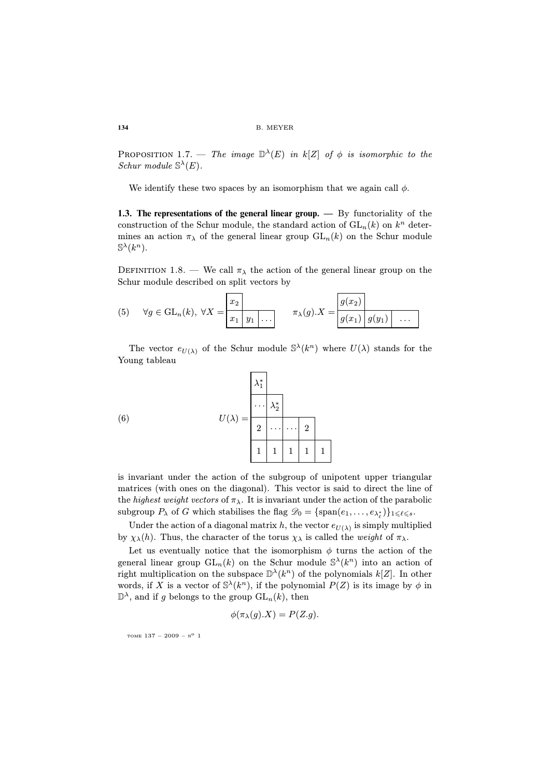PROPOSITION 1.7. — The image  $\mathbb{D}^{\lambda}(E)$  in  $k[Z]$  of  $\phi$  is isomorphic to the Schur module  $\mathbb{S}^{\lambda}(E)$ .

We identify these two spaces by an isomorphism that we again call  $\phi$ .

**1.3. The representations of the general linear group. —** By functoriality of the construction of the Schur module, the standard action of  $GL_n(k)$  on  $k^n$  determines an action  $\pi_{\lambda}$  of the general linear group  $GL_n(k)$  on the Schur module  $\mathbb{S}^{\lambda}(k^n)$ .

DEFINITION 1.8. — We call  $\pi_{\lambda}$  the action of the general linear group on the Schur module described on split vectors by

(5) 
$$
\forall g \in GL_n(k), \ \forall X = \begin{array}{|c|c|c|c|c|} x_2 & \pi_{\lambda}(g).X = \begin{array}{|c|c|} g(x_2) & \dots & g(x_n) \end{array} \end{array}
$$

The vector  $e_{U(\lambda)}$  of the Schur module  $\mathbb{S}^{\lambda}(k^n)$  where  $U(\lambda)$  stands for the Young tableau

<span id="page-8-0"></span>(6) 
$$
U(\lambda) = \begin{array}{|c|c|}\n\lambda_1^* \\
\vdots \\
\lambda_2^* \\
\hline\n2 & \cdots & 2 \\
1 & 1 & 1 & 1\n\end{array}
$$

is invariant under the action of the subgroup of unipotent upper triangular matrices (with ones on the diagonal). This vector is said to direct the line of the highest weight vectors of  $\pi_{\lambda}$ . It is invariant under the action of the parabolic subgroup  $P_\lambda$  of G which stabilises the flag  $\mathscr{D}_0 = \{\text{span}(e_1,\ldots,e_{\lambda_\ell^*})\}_{1 \leq \ell \leq s}$ .

Under the action of a diagonal matrix h, the vector  $e_{U(\lambda)}$  is simply multiplied by  $\chi_{\lambda}(h)$ . Thus, the character of the torus  $\chi_{\lambda}$  is called the *weight* of  $\pi_{\lambda}$ .

Let us eventually notice that the isomorphism  $\phi$  turns the action of the general linear group  $GL_n(k)$  on the Schur module  $\mathbb{S}^{\lambda}(k^n)$  into an action of right multiplication on the subspace  $\mathbb{D}^{\lambda}(k^{n})$  of the polynomials  $k[Z]$ . In other words, if X is a vector of  $\mathbb{S}^{\lambda}(k^n)$ , if the polynomial  $P(Z)$  is its image by  $\phi$  in  $\mathbb{D}^{\lambda}$ , and if g belongs to the group  $\mathrm{GL}_{n}(k)$ , then

$$
\phi(\pi_{\lambda}(g).X) = P(Z.g).
$$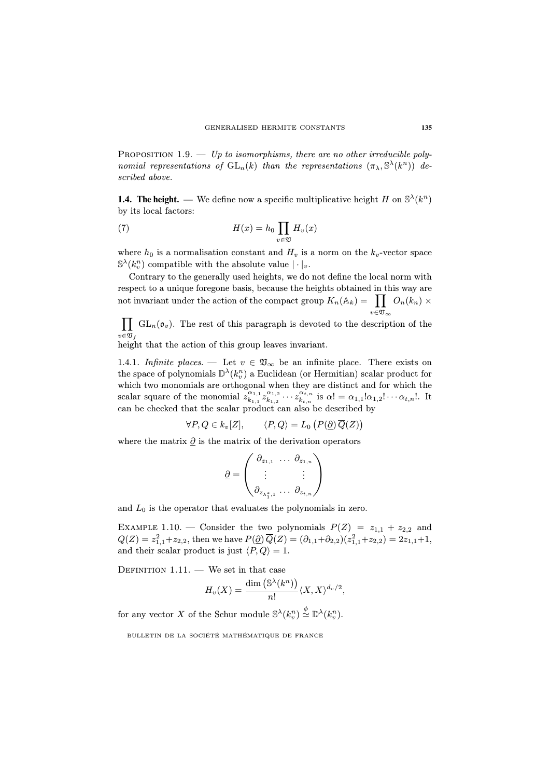PROPOSITION 1.9. — Up to isomorphisms, there are no other irreducible polynomial representations of  $GL_n(k)$  than the representations  $(\pi_\lambda, \mathbb{S}^{\lambda}(k^n))$  described above.

**1.4. The height.** — We define now a specific multiplicative height H on  $\mathbb{S}^{\lambda}(k^{n})$ by its local factors:

(7) 
$$
H(x) = h_0 \prod_{v \in \mathfrak{V}} H_v(x)
$$

where  $h_0$  is a normalisation constant and  $H_v$  is a norm on the  $k_v$ -vector space  $\mathbb{S}^{\lambda}(k_v^n)$  compatible with the absolute value  $|\cdot|_v$ .

Contrary to the generally used heights, we do not define the local norm with respect to a unique foregone basis, because the heights obtained in this way are not invariant under the action of the compact group  $K_n(\mathbb{A}_k) = \prod$  $v \in \mathfrak{V}_\infty$  $O_n(k_n)$   $\times$ 

 $\prod$  GL<sub>n</sub>( $\mathfrak{o}_v$ ). The rest of this paragraph is devoted to the description of the  $v \in \mathfrak{V}_f$ 

height that the action of this group leaves invariant.

1.4.1. Infinite places. — Let  $v \in \mathfrak{V}_{\infty}$  be an infinite place. There exists on the space of polynomials  $\mathbb{D}^{\lambda}(k_v^n)$  a Euclidean (or Hermitian) scalar product for which two monomials are orthogonal when they are distinct and for which the scalar square of the monomial  $z_{k+1}^{\alpha_{1,1}}$  $\alpha_{1,1}\atop{k_{1,1}} z_{k_{1,2}}^{\alpha_{1,2}}$  $\overline{\alpha}^{1,2}_{k_{1,2}}\cdots\overline{z}^{\alpha_{t,n}}_{k_{t,n}}$  $\alpha_{t,n}^{\alpha_{t,n}}$  is  $\alpha! = \alpha_{1,1}!\alpha_{1,2}!\cdots \alpha_{t,n}!$ . It can be checked that the scalar product can also be described by

$$
\forall P, Q \in k_v[Z], \qquad \langle P, Q \rangle = L_0 \left( P(\underline{\partial}) \, \overline{Q}(Z) \right)
$$

where the matrix  $\partial$  is the matrix of the derivation operators

$$
\underline{\partial} = \begin{pmatrix} \partial_{z_{1,1}} & \dots & \partial_{z_{1,n}} \\ \vdots & & \vdots \\ \partial_{z_{\lambda_1^*,1}} & \dots & \partial_{z_{t,n}} \end{pmatrix}
$$

and  $L_0$  is the operator that evaluates the polynomials in zero.

EXAMPLE 1.10. — Consider the two polynomials  $P(Z) = z_{1,1} + z_{2,2}$  and  $Q(Z) = z_{1,1}^2 + z_{2,2}$ , then we have  $P(\underline{\partial}) \overline{Q}(Z) = (\partial_{1,1} + \partial_{2,2})(z_{1,1}^2 + z_{2,2}) = 2z_{1,1} + 1$ , and their scalar product is just  $\langle P, Q \rangle = 1$ .

DEFINITION  $1.11.$  — We set in that case

$$
H_v(X)=\frac{\dim\left(\mathbb{S}^\lambda(k^n)\right)}{n!}\langle X,X\rangle^{d_v/2},
$$

for any vector X of the Schur module  $\mathbb{S}^{\lambda}(k_v^n) \stackrel{\phi}{\simeq} \mathbb{D}^{\lambda}(k_v^n)$ .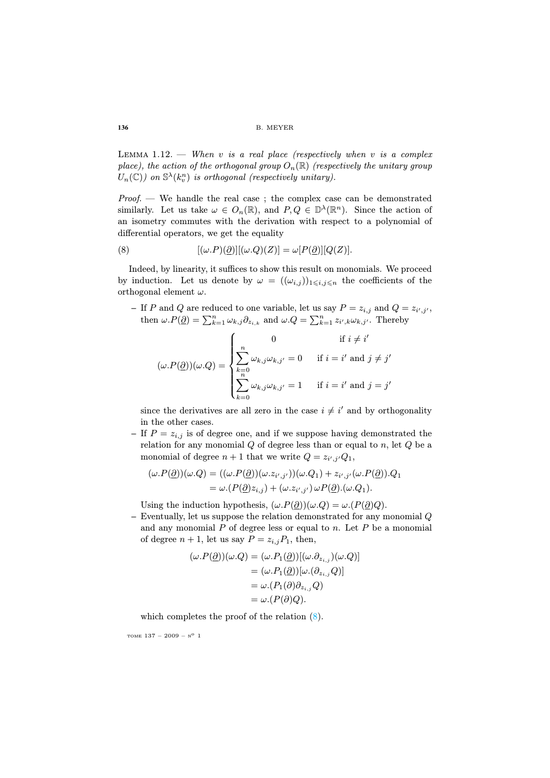<span id="page-10-0"></span>LEMMA  $1.12.$  – When v is a real place (respectively when v is a complex place), the action of the orthogonal group  $O_n(\mathbb{R})$  (respectively the unitary group  $U_n(\mathbb{C})$  on  $\mathbb{S}^{\lambda}(k_v^n)$  is orthogonal (respectively unitary).

 $Proof.$  — We handle the real case; the complex case can be demonstrated similarly. Let us take  $\omega \in O_n(\mathbb{R})$ , and  $P, Q \in \mathbb{D}^{\lambda}(\mathbb{R}^n)$ . Since the action of an isometry commutes with the derivation with respect to a polynomial of differential operators, we get the equality

(8) 
$$
[(\omega.P)(\underline{\partial})] [(\omega.Q)(Z)] = \omega[P(\underline{\partial})] [Q(Z)].
$$

Indeed, by linearity, it suffices to show this result on monomials. We proceed by induction. Let us denote by  $\omega = ((\omega_{i,j}))_{1 \leq i,j \leq n}$  the coefficients of the orthogonal element  $\omega$ .

 $-$  If P and Q are reduced to one variable, let us say  $P = z_{i,j}$  and  $Q = z_{i',j'}$ , then  $\omega.P(\underline{\partial}) = \sum_{k=1}^n \omega_{k,j} \partial_{z_{i,k}}$  and  $\omega.Q = \sum_{k=1}^n z_{i',k} \omega_{k,j'}$ . Thereby

$$
(\omega.P(\underline{\partial}))(\omega.Q) = \begin{cases} 0 & \text{if } i \neq i' \\ \sum_{k=0}^{n} \omega_{k,j}\omega_{k,j'} = 0 & \text{if } i = i' \text{ and } j \neq j' \\ \sum_{k=0}^{n} \omega_{k,j}\omega_{k,j'} = 1 & \text{if } i = i' \text{ and } j = j' \end{cases}
$$

since the derivatives are all zero in the case  $i \neq i'$  and by orthogonality in the other cases.

**–** If  $P = z_{i,j}$  is of degree one, and if we suppose having demonstrated the relation for any monomial  $Q$  of degree less than or equal to  $n$ , let  $Q$  be a monomial of degree  $n+1$  that we write  $Q = z_{i',j'}Q_1$ ,

$$
(\omega.P(\underline{\partial}))(\omega.Q) = ((\omega.P(\underline{\partial}))(\omega.z_{i',j'}))(\omega.Q_1) + z_{i',j'}(\omega.P(\underline{\partial})).Q_1
$$
  
=  $\omega.(P(\underline{\partial})z_{i,j}) + (\omega.z_{i',j'}) \omega P(\underline{\partial}).(\omega.Q_1).$ 

Using the induction hypothesis,  $(\omega.P(\partial))(\omega.Q) = \omega.(P(\partial)Q)$ .

**–** Eventually, let us suppose the relation demonstrated for any monomial Q and any monomial  $P$  of [deg](#page-10-0)ree less or equal to  $n$ . Let  $P$  be a monomial of degree  $n + 1$ , let us say  $P = z_{i,j}P_1$ , then,

$$
(\omega.P(\underline{\partial}))(\omega.Q) = (\omega.P_1(\underline{\partial}))[(\omega.\partial_{z_{i,j}})(\omega.Q)]
$$
  

$$
= (\omega.P_1(\underline{\partial}))[\omega.(\partial_{z_{i,j}}Q)]
$$
  

$$
= \omega.(P_1(\partial)\partial_{z_{i,j}}Q)
$$
  

$$
= \omega.(P(\partial)Q).
$$

which completes the proof of the relation (8).

TOME  $137 - 2009 - N^0$  1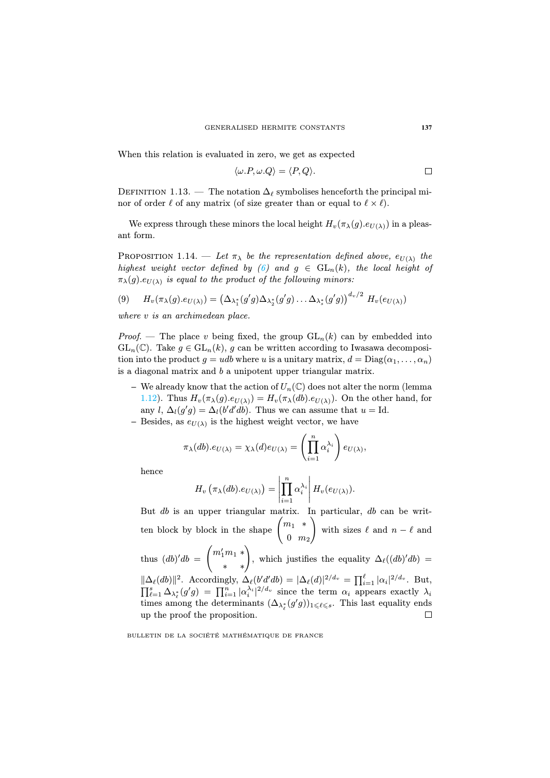When this relation is evaluated in zero, we get as expected

$$
\langle \omega.P, \omega.Q \rangle = \langle P, Q \rangle.
$$

<span id="page-11-0"></span>DEFINITION 1.13[. —](#page-8-0) The notation  $\Delta_\ell$  symbolises henceforth the principal minor of order  $\ell$  of any matrix (of size greater than or equal to  $\ell \times \ell$ ).

We express through these minors the local height  $H_v(\pi_\lambda(g).e_{U(\lambda)})$  in a pleasant form.

PROPOSITION 1.14. — Let  $\pi_{\lambda}$  be the representation defined above,  $e_{U(\lambda)}$  the highest weight vector defined by (6) and  $g \in GL_n(k)$ , the local height of  $\pi_{\lambda}(g).e_{U(\lambda)}$  is equal to the product of the following minors:

$$
(9) \qquad H_v(\pi_{\lambda}(g).e_{U(\lambda)}) = \left(\Delta_{\lambda_1^*}(g'g)\Delta_{\lambda_2^*}(g'g)\ldots\Delta_{\lambda_s^*}(g'g)\right)^{d_v/2} H_v(e_{U(\lambda)})
$$

where v is an archimedean place.

*Proof.* — The place v being fixed, the group  $GL_n(k)$  can by embedded into  $GL_n(\mathbb{C})$ . Take  $g \in GL_n(k)$ , g can be written according to Iwasawa decomposition into the product  $q = udb$  where u is a unitary matrix,  $d = \text{Diag}(\alpha_1, \ldots, \alpha_n)$ is a diagonal matrix and b a unipotent upper triangular matrix.

- **–** We already know that the action of  $U_n(\mathbb{C})$  does not alter the norm (lemma 1.12). Thus  $H_v(\pi_\lambda(g).e_{U(\lambda)}) = H_v(\pi_\lambda(db).e_{U(\lambda)})$ . On the other hand, for any  $l, \Delta_l(g'g) = \Delta_l(b'd'db)$ . Thus we can assume that  $u = Id$ .
- $-$  Besides, as  $e_{U(\lambda)}$  is the highest weight vector, we have

$$
\pi_{\lambda}(db).e_{U(\lambda)} = \chi_{\lambda}(d)e_{U(\lambda)} = \left(\prod_{i=1}^n \alpha_i^{\lambda_i}\right)e_{U(\lambda)},
$$

hence

$$
H_v\left(\pi_\lambda(db).e_{U(\lambda)}\right)=\left|\prod_{i=1}^n\alpha_i^{\lambda_i}\right|H_v(e_{U(\lambda)}).
$$

But db is an upper triangular matrix. In particular, db can be written block by block in the shape  $\begin{pmatrix} m_1 & * \\ 0 & m_2 \end{pmatrix}$ 0 m<sup>2</sup>  $\setminus$ with sizes  $\ell$  and  $n - \ell$  and thus  $(db)'db =$  $\binom{m'_1m_1 \ast}{\ast}$ , which justifies the equality  $\Delta_{\ell}((db)'db) =$  $\|\Delta_{\ell}(db)\|^2$ . Accordingly,  $\Delta_{\ell}(b'd'db) = |\Delta_{\ell}(d)|^{2/d_v} = \prod_{i=1}^{\ell} |\alpha_i|^{2/d_v}$ . But,  $\prod_{\ell=1}^s \Delta_{\lambda_\ell^*}(g'g) = \prod_{i=1}^n |\alpha_i^{\lambda_i}|^{2/d_v}$  since the term  $\alpha_i$  appears exactly  $\lambda_i$ times among the determinants  $(\Delta_{\lambda_{\ell}^*}(g'g))_{1\leqslant \ell\leqslant s}$ . This last equality ends up the proof the proposition.

 $\Box$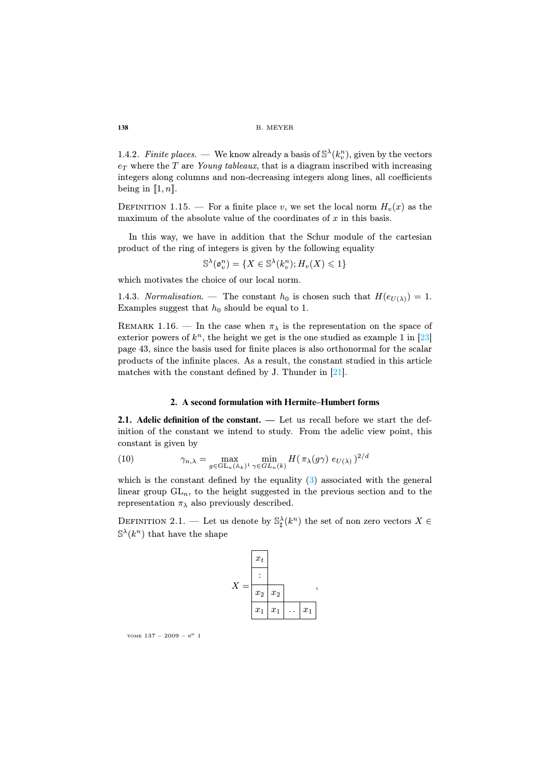1.4.2. Finite places. — We know already a basis of  $\mathbb{S}^{\lambda}(k_v^n)$ , given by the vectors  $e_T$  where the T are Young tableaux, that is a diagram inscribed with increasing integers along columns and non-decreasing integers along lines, all coefficients being in  $[1, n]$ .

DEFINITION 1.15. — For a finite place v, we set the local norm  $H_v(x)$  as the maximum of the absolute value of the coordinates of  $x$  in this basis.

In this way, we have in addition that the Schur module of the cartesian product of the ring of integers is given by the following e[qua](#page-32-1)lity

 $\mathbb{S}^\lambda(\mathfrak{o}_v^n)=\{X\in\mathbb{S}^\lambda(k_v^n); H_v(X)\leqslant 1\}$ 

which motivates the choice of our lo[cal](#page-32-0) norm.

1.4.3. Normalisation. — The constant  $h_0$  is chosen such that  $H(e_{U(\lambda)}) = 1$ . Examples suggest that  $h_0$  should be equal to 1.

REMARK 1.16. — In the case when  $\pi_{\lambda}$  is the representation on the space of exterior powers of  $k<sup>n</sup>$ , the height we get is the one studied as example 1 in [23] page 43, since the basis used for finite places is also orthonormal for the scalar products of the infinite places. As a result, the constant studied in this article matches with the constant defined by J. Thunder in [21].

#### **2. A second form[ula](#page-2-1)tion with Hermite–Humbert forms**

**2.1. Adelic definition of the constant. —** Let us recall before we start the definition of the constant we intend to study. From the adelic view point, this constant is given by

(10) 
$$
\gamma_{n,\lambda} = \max_{g \in \mathrm{GL}_n(\mathbb{A}_k)^1} \min_{\gamma \in GL_n(k)} H(\pi_\lambda(g\gamma) e_{U(\lambda)})^{2/d}
$$

which is the constant defined by the equality  $(3)$  associated with the general linear group  $GL_n$ , to the height suggested in the previous section and to the representation  $\pi_{\lambda}$  also previously described.

DEFINITION 2.1. — Let us denote by  $\mathbb{S}_{\sharp}^{\lambda}(k^{n})$  the set of non zero vectors  $X \in$  $\mathbb{S}^{\lambda}(k^n)$  that have the shape



TOME  $137 - 2009 - N^0$  1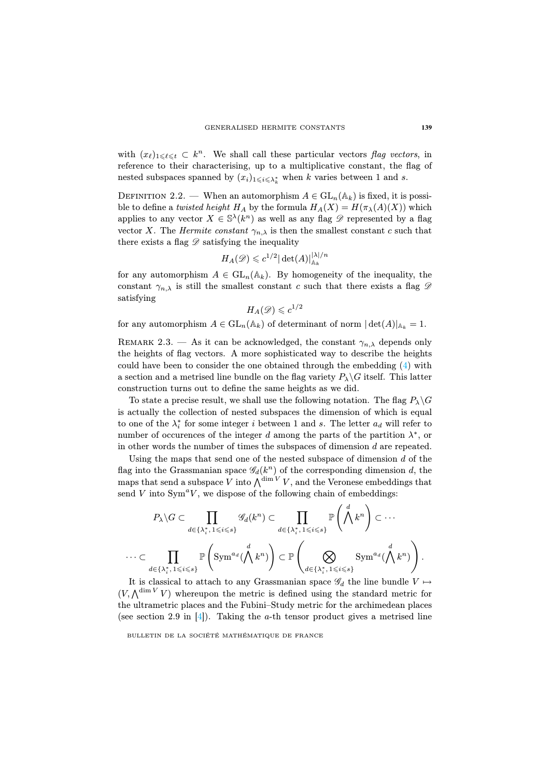with  $(x_\ell)_{1\leq \ell \leq t} \subset k^n$ . We shall call these particular vectors flag vectors, in reference to their characterising, up to a multiplicative constant, the flag of nested subspaces spanned by  $(x_i)_{1\leqslant i\leqslant \lambda^*_k}$  when k varies between 1 and s.

DEFINITION 2.2. — When an automorphism  $A \in GL_n(\mathbb{A}_k)$  is fixed, it is possible to define a twisted height  $H_A$  by the formula  $H_A(X) = H(\pi_\lambda(A)(X))$  which applies to any vector  $X \in \mathbb{S}^{\lambda}(k^n)$  as well as any flag  $\mathscr{D}$  represented by a flag vector X. The Hermite constant  $\gamma_{n,\lambda}$  is then the smallest constant c such that there exists a flag  $\mathscr D$  satisfying the inequality

$$
H_A(\mathscr{D}) \leqslant c^{1/2} |\det(A)|_{\mathbb{A}_k}^{|\lambda|/n}
$$

for any automorphism  $A \in GL_n(\mathbb{A}_k)$ . By homogene[ity](#page-2-2) of the inequality, the constant  $\gamma_{n,\lambda}$  is still the smallest constant c such that there exists a flag  $\mathscr D$ satisfying

$$
H_A(\mathscr{D})\leqslant c^{1/2}
$$

for any automorphism  $A \in GL_n(\mathbb{A}_k)$  of determinant of norm  $|\det(A)|_{\mathbb{A}_k} = 1$ .

REMARK 2.3. — As it can be acknowledged, the constant  $\gamma_{n,\lambda}$  depends only the heights of flag vectors. A more sophisticated way to describe the heights could have been to consider the one obtained through the embedding (4) with a section and a metrised line bundle on the flag variety  $P_{\lambda} \backslash G$  itself. This latter construction turns out to define the same heights as we did.

To state a precise result, we shall use the following notation. The flag  $P_\lambda \backslash G$ is actually the collection of nested subspaces the dimension of which is equal to one of the  $\lambda_i^*$  for some integer i between 1 and s. The letter  $a_d$  will refer to number of occurences of the integer d among the parts of the partition  $\lambda^*$ , or in other words the number of times the subspaces of dimension d are repeated.

Using the maps that send one of the nested subspace of dimension  $d$  of the flag into the Grassmanian space  $\mathscr{G}_d(k^n)$  of the corresponding dimension d, the maps that send a subspace V into  $\bigwedge^{\dim V} V$ , and the Veronese embeddings that send  $V$  into  $Sym^a V$ , we dispose of the following chain of embeddings:

$$
P_{\lambda} \setminus G \subset \prod_{d \in \{\lambda_i^*, 1 \leqslant i \leqslant s\}} \mathcal{G}_d(k^n) \subset \prod_{d \in \{\lambda_i^*, 1 \leqslant i \leqslant s\}} \mathbb{P}\left(\bigwedge^d k^n\right) \subset \cdots
$$

$$
\cdots \subset \prod_{d \in \{\lambda_i^*, 1 \leqslant i \leqslant s\}} \mathbb{P}\left(\text{Sym}^{a_d}(\bigwedge^d k^n)\right) \subset \mathbb{P}\left(\bigotimes_{d \in \{\lambda_i^*, 1 \leqslant i \leqslant s\}} \text{Sym}^{a_d}(\bigwedge^d k^n)\right).
$$

It is classical to attach to any Grassmanian space  $\mathscr{G}_d$  the line bundle  $V \mapsto$  $(V, \bigwedge^{\dim V} V)$  whereupon the metric is defined using the standard metric for the ultrametric places and the Fubini–Study metric for the archimedean places (see section 2.9 in  $[4]$ ). Taking the a-th tensor product gives a metrised line

BULLETIN DE LA SOCIÉTÉ MATHÉMATIQUE DE FRANCE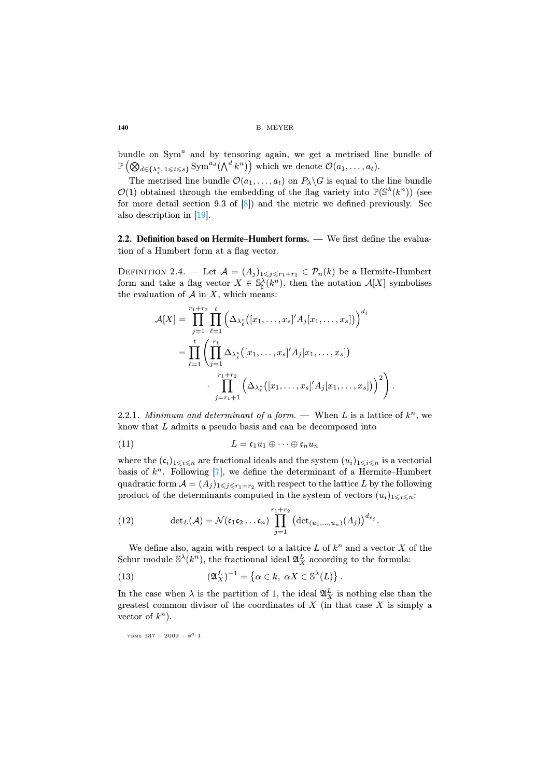bundle on  $Sym^a$  and by tensoring again, we get a metrised line bundle of  $\mathbb{P}\left( \bigotimes_{d\in \{\lambda_i^*,\,1\leqslant i\leqslant s\}} \text{Sym}^{a_d}(\bigwedge^{d} k^n)\right) \text{ which we denote } \mathcal{O}(a_1,\ldots,a_t).$ 

The metrised line bundle  $\mathcal{O}(a_1, \ldots, a_t)$  on  $P_{\lambda} \backslash G$  is equal to the line bundle  $\mathcal{O}(1)$  obtained through the embedding of the flag variety into  $\mathbb{P}(\mathbb{S}^{\lambda}(k^{n}))$  (see for more detail section 9.3 of  $[8]$ ) and the metric we defined previously. See also description in [19].

**2.2. Definition based on Hermite–Humbert forms. —** We first define the evaluation of a Humbert form at a flag vector.

DEFINITION 2.4. — Let  $\mathcal{A} = (A_j)_{1 \leq j \leq r_1+r_2} \in \mathcal{P}_n(k)$  be a Hermite-Humbert form and take a flag vector  $X \in \mathbb{S}_{\sharp}^{\lambda}(k^{n})$ , then the notation  $\mathcal{A}[X]$  symbolises the evaluation of  $A$  in  $X$ , which means:

<span id="page-14-0"></span>
$$
\mathcal{A}[X] = \prod_{j=1}^{r_1+r_2} \prod_{\ell=1}^t \left( \Delta_{\lambda_{\ell}^*} ([x_1, \ldots, x_s]' A_j [x_1, \ldots, x_s]) \right)^{d_j}
$$
  
= 
$$
\prod_{\ell=1}^t \left( \prod_{j=1}^{r_1} \Delta_{\lambda_{\ell}^*} ([x_1, \ldots, x_s]' A_j [x_1, \ldots, x_s])
$$

$$
\cdot \prod_{j=r_1+1}^{r_1+r_2} \left( \Delta_{\lambda_{\ell}^*} ([x_1, \ldots, x_s]' A_j [x_1, \ldots, x_s]) \right)^2 \right).
$$

2.2.1. Minimum and determinant of a form. — When L is a lattice of  $k^n$ , we know that L admits a pseudo basis and can be decomposed into

(11) 
$$
L = \mathfrak{c}_1 u_1 \oplus \cdots \oplus \mathfrak{c}_n u_n
$$

where the  $(c_i)_{1\leq i\leq n}$  are fractional ideals and the system  $(u_i)_{1\leq i\leq n}$  is a vectorial basis of  $k^n$ . Following [7], we define the determinant of a Hermite–Humbert quadratic form  $\mathcal{A} = (A_j)_{1 \leq j \leq r_1+r_2}$  with respect to the lattice L by the following product of the determinants computed in the system of vectors  $(u_i)_{1\leqslant i\leqslant n}$ :

(12) 
$$
\det_L(\mathcal{A}) = \mathcal{N}(\mathfrak{c}_1 \mathfrak{c}_2 \dots \mathfrak{c}_n) \prod_{j=1}^{r_1 + r_2} \left( \det_{(u_1, \dots, u_n)}(A_j) \right)^{d_{v_j}}.
$$

We define also, again with respect to a lattice  $L$  of  $k^n$  and a vector  $X$  of the Schur module  $\mathbb{S}^{\lambda}(k^n)$ , the fractionnal ideal  $\mathfrak{A}_X^L$  according to the formula:

(13) 
$$
(\mathfrak{A}_X^L)^{-1} = \left\{ \alpha \in k, \ \alpha X \in \mathbb{S}^{\lambda}(L) \right\}.
$$

In the case when  $\lambda$  is the partition of 1, the ideal  $\mathfrak{A}_X^L$  is nothing else than the greatest common divisor of the coordinates of  $X$  (in that case  $X$  is simply a vector of  $k^n$ ).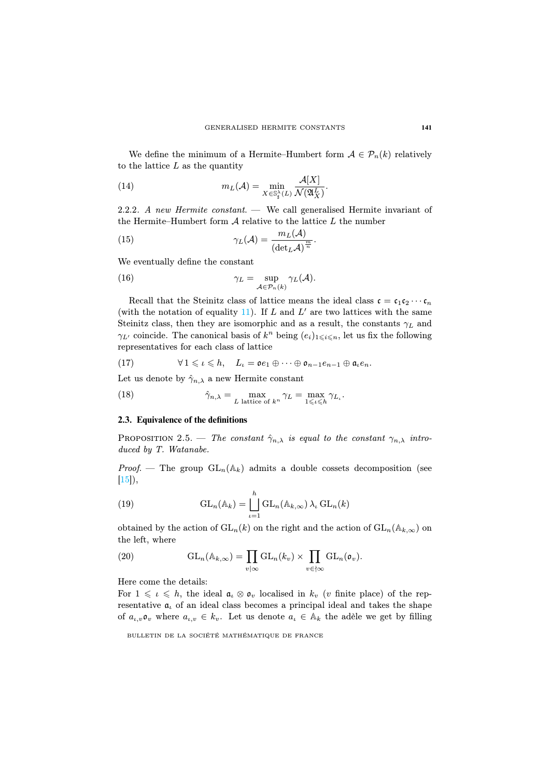We define the minimum of a Hermite–Humbert form  $A \in \mathcal{P}_n(k)$  relatively to the lattice  $L$  as the quantity

(14) 
$$
m_L(\mathcal{A}) = \min_{X \in \mathbb{S}_4^{\lambda}(L)} \frac{\mathcal{A}[X]}{\mathcal{N}(\mathfrak{A}_X^L)}.
$$

2.2.2. A new Hermite constant. — We call generalised Hermite invariant of the Hermite–[Hu](#page-14-0)mbert form  $A$  relative to the lattice  $L$  the number

(15) 
$$
\gamma_L(\mathcal{A}) = \frac{m_L(\mathcal{A})}{(\det_L \mathcal{A})^{\frac{m}{n}}}.
$$

We eventually define the constant

(16) 
$$
\gamma_L = \sup_{\mathcal{A} \in \mathcal{P}_n(k)} \gamma_L(\mathcal{A}).
$$

Recall that the Steinitz class of lattice means the ideal class  $\mathfrak{c} = \mathfrak{c}_1 \mathfrak{c}_2 \cdots \mathfrak{c}_n$ (with the notation of equality  $11$ ). If L and L' are two lattices with the same Steinitz class, then they are isomorphic and as a result, the constants  $\gamma_L$  and  $\gamma_{L'}$  coincide. The canonical basis of  $k^n$  being  $(e_i)_{1\leqslant i\leqslant n}$ , let us fix the following representatives for each class of lattice

(17) 
$$
\forall 1 \leqslant \iota \leqslant h, \quad L_{\iota} = \mathfrak{o}e_1 \oplus \cdots \oplus \mathfrak{o}_{n-1}e_{n-1} \oplus \mathfrak{a}_{\iota}e_n.
$$

Let us denote by  $\hat{\gamma}_{n,\lambda}$  a new Hermite constant

(18) 
$$
\hat{\gamma}_{n,\lambda} = \max_{L \text{ lattice of } k^n} \gamma_L = \max_{1 \leq l \leq h} \gamma_{L_l}.
$$

#### **2.3. Equivalence of the definitions**

PROPOSITION 2.5. — The constant  $\hat{\gamma}_{n,\lambda}$  is equal to the constant  $\gamma_{n,\lambda}$  introduced by T. Watanabe.

*Proof.* — The group  $GL_n(\mathbb{A}_k)$  admits a double cossets decomposition (see  $[15]$ ,

(19) 
$$
GL_n(\mathbb{A}_k) = \bigsqcup_{\iota=1}^h GL_n(\mathbb{A}_{k,\infty}) \lambda_\iota GL_n(k)
$$

obtained by the action of  $GL_n(k)$  on the right and the action of  $GL_n(\mathbb{A}_{k,\infty})$  on the left, where

(20) 
$$
GL_n(\mathbb{A}_{k,\infty}) = \prod_{v \mid \infty} GL_n(k_v) \times \prod_{v \in \{ \infty} GL_n(\mathfrak{o}_v).
$$

Here come the details:

For  $1 \leq \iota \leq h$ , the ideal  $\mathfrak{a}_{\iota} \otimes \mathfrak{o}_{v}$  localised in  $k_{v}$  (v finite place) of the representative  $a_i$  of an ideal class becomes a principal ideal and takes the shape of  $a_{\iota,v} \mathfrak{o}_v$  where  $a_{\iota,v} \in k_v$ . Let us denote  $a_{\iota} \in A_k$  the adèle we get by filling

BULLETIN DE LA SOCIÉTÉ MATHÉMATIQUE DE FRANCE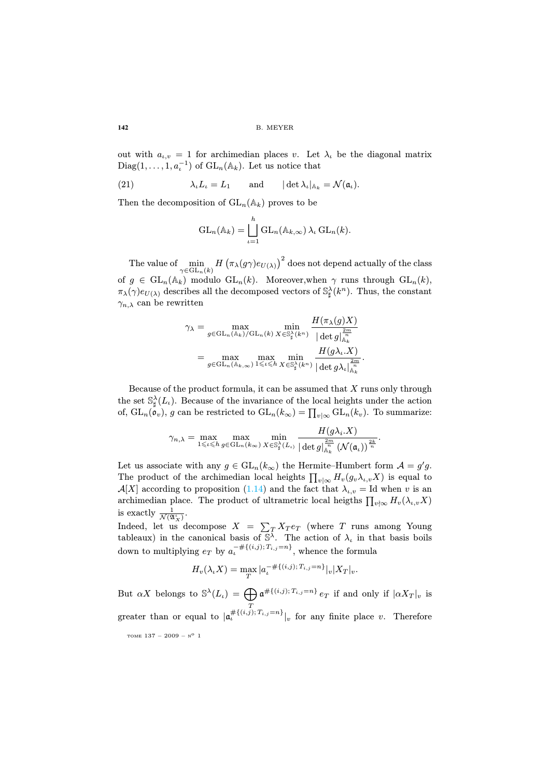out with  $a_{i,v} = 1$  for archimedian places v. Let  $\lambda_i$  be the diagonal matrix Diag $(1, \ldots, 1, a_t^{-1})$  of  $GL_n(\mathbb{A}_k)$ . Let us notice that

(21)  $\lambda_{\iota}L_{\iota} = L_1$  and  $|\det \lambda_{\iota}|_{\mathbb{A}_k} = \mathcal{N}(\mathfrak{a}_{\iota}).$ 

Then the decomposition of  $GL_n(\mathbb{A}_k)$  proves to be

$$
\mathrm{GL}_n(\mathbb{A}_k)=\bigsqcup_{\iota=1}^h\mathrm{GL}_n(\mathbb{A}_{k,\infty})\,\lambda_{\iota}\,\mathrm{GL}_n(k).
$$

The value of  $\min_{\gamma \in \text{GL}_n(k)} H\left(\pi_\lambda(g\gamma) e_{U(\lambda)}\right)^2$  does not depend actually of the class of  $g \in GL_n(\mathbb{A}_k)$  modulo  $GL_n(k)$ . Moreover, when  $\gamma$  runs through  $GL_n(k)$ ,  $\pi_\lambda(\gamma) e_{U(\lambda)}$  describes all the decomposed vectors of  $\mathbb{S}^\lambda_\sharp(k^n)$ . Thus, the constant  $\gamma_{n,\lambda}$  can be rewritten

$$
\gamma_{\lambda} = \max_{g \in \mathrm{GL}_n(\mathbb{A}_k)/\mathrm{GL}_n(k)} \min_{X \in \mathbb{S}_\sharp^{\lambda}(k^n)} \frac{H(\pi_{\lambda}(g)X)}{|\det g|_{\mathbb{A}_k}^{\frac{2m}{n}}}
$$

$$
= \max_{g \in \mathrm{GL}_n(\mathbb{A}_{k,\infty})} \max_{1 \leq \iota \leq h} \min_{X \in \mathbb{S}_\sharp^{\lambda}(k^n)} \frac{H(g\lambda_{\iota}.X)}{|\det g\lambda_{\iota}|_{\mathbb{A}_k}^{\frac{2m}{n}}}.
$$

Because of the product formula, it can be assumed that  $X$  runs only through the set  $\mathbb{S}_{\sharp}^{\lambda}(L_{\iota})$ [. Bec](#page-11-0)ause of the invariance of the local heights under the action of,  $\mathrm{GL}_n(\mathfrak{o}_v)$ , g can be restricted to  $\mathrm{GL}_n(k_\infty) = \prod_{v | \infty} \mathrm{GL}_n(k_v)$ . To summarize:

$$
\gamma_{n,\lambda} = \max_{1 \leqslant \iota \leqslant h} \max_{g \in \mathrm{GL}_n(k_\infty)} \min_{X \in \mathbb{S}_\sharp^\lambda(L_\iota)} \frac{H(g\lambda_i, X)}{|\det g|_{\mathbb{A}_k}^{2m}} \frac{1}{(\mathcal{N}(\mathfrak{a}_\iota))^{\frac{2k}{n}}}.
$$

Let us associate with any  $g \in GL_n(k_\infty)$  the Hermite–Humbert form  $\mathcal{A} = g'g$ . The product of the archimedian local heights  $\prod_{v|\infty} H_v(g_v\lambda_{\iota,v}X)$  is equal to  $\mathcal{A}[X]$  according to proposition (1.14) and the fact that  $\lambda_{\iota,v} =$  Id when v is an archimedian place. The product of ultrametric local heigths  $\prod_{v \nmid \infty} H_v(\lambda_{\iota,v} X)$ is exactly  $\frac{1}{\mathcal{N}(\mathfrak{A}_X^{\iota})}$ .

Indeed, let us decompose  $X = \sum_{T} X_T e_T$  (where T runs among Young tableaux) in the canonical basis of  $\overline{S}^{\lambda}$ . The action of  $\lambda_{\iota}$  in that basis boils down to multiplying  $e_T$  by  $a_t^{-\# \{(i,j)\} T_{i,j}=n\}}$ , whence the formula

$$
H_v(\lambda_t X) = \max_T |a_t^{-\# \{(i,j)\; T_{i,j} = n\}}|_v |X_T|_v.
$$

But  $\alpha X$  belongs to  $\mathbb{S}^{\lambda}(L_{\iota}) = \bigoplus_{\iota} \mathfrak{a}^{\# \{ (i,j) ; T_{i,j} = n \}} e_T$  if and only if  $|\alpha X_T|_v$  is T greater than or equal to  $|\mathfrak{a}_t^{\# \{(i,j)\} , T_{i,j}=n\}}|_v$  for any finite place v. Therefore TOME  $137 - 2009 - N^0$  1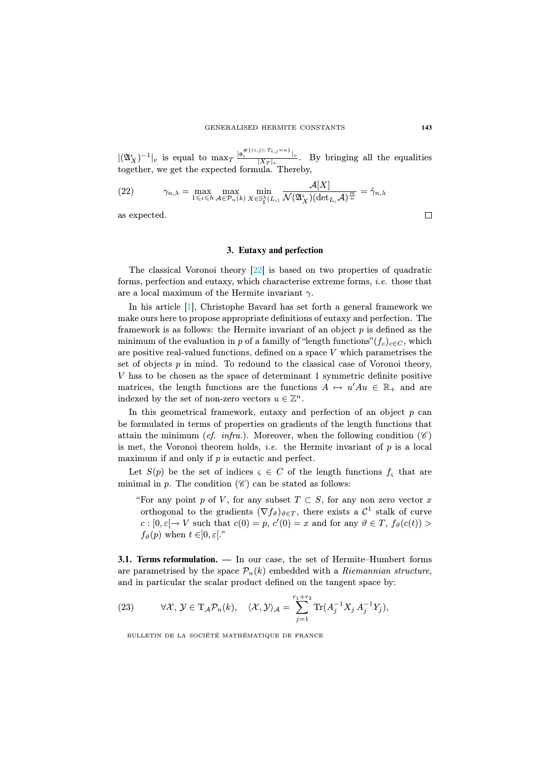$|(\mathfrak{A}_X^{\iota})^{-1}|_v$  is equal to  $\max_T \frac{|\mathfrak{a}_\iota^{*(i,j); T_{i,j}=n)}|_v}{|X_T|_v}$ . By bringing all the equalities together, we get the expected formula. Thereby,

 $ATZ$ ]

(22) 
$$
\gamma_{n,\lambda} = \max_{1 \leq \iota \leq h} \max_{A \in \mathcal{P}_n(k)} \min_{X \in \mathbb{S}_\sharp^\lambda(L_\iota)} \frac{A|A|}{\mathcal{N}(\mathfrak{A}_X^{\iota}) (\det_{L_\iota} A)^{\frac{m}{n}}} = \hat{\gamma}_{n,\lambda}
$$

[as](#page-30-0) expected.

#### **3. Eutaxy and perfection**

The classical Voronoi theory [22] is based on two properties of quadratic forms, perfection and eutaxy, which characterise extreme forms, i.e. those that are a local maximum of the Hermite invariant  $\gamma$ .

In his article [1], Christophe Bavard has set forth a general framework we make ours here to propose appropriate definitions of eutaxy and perfection. The framework is as follows: the Hermite invariant of an object  $p$  is defined as the minimum of the evaluation in p of a familly of "length functions" $(f_c)_{c \in C}$ , which are positive real-valued functions, defined on a space  $V$  which parametrises the set of objects  $p$  in mind. To redound to the classical case of Voronoi theory, V has to be chosen as the space of determinant 1 symmetric definite positive matrices, the length functions are the functions  $A \mapsto u' A u \in \mathbb{R}_+$  and are indexed by the set of non-zero vectors  $u \in \mathbb{Z}^n$ .

In this geometrical framework, eutaxy and perfection of an object  $p$  can be formulated in terms of properties on gradients of the length functions that attain the minimum (cf. infra.). Moreover, when the following condition ( $\mathscr{C}$ ) is met, the Voronoi theorem holds, *i.e.* the Hermite invariant of  $p$  is a local maximum if and only if  $p$  is eutactic and perfect.

Let  $S(p)$  be the set of indices  $\varsigma \in C$  of the length functions  $f_{\varsigma}$  that are minimal in p. The condition  $(\mathscr{C})$  can be stated as follows:

"For any point p of V, for any subset  $T \subset S$ , for any non zero vector x orthogonal to the gradients  $(\nabla f_{\vartheta})_{\vartheta \in T}$ , there exists a  $\mathcal{C}^1$  stalk of curve  $c: [0, \varepsilon] \to V$  such that  $c(0) = p, c'(0) = x$  and for any  $\vartheta \in T$ ,  $f_{\vartheta}(c(t)) >$  $f_{\vartheta}(p)$  when  $t \in ]0, \varepsilon[$ ."

**3.1. Terms reformulation. —** In our case, the set of Hermite–Humbert forms are parametrised by the space  $\mathcal{P}_n(k)$  embedded with a Riemannian structure, and in particular the scalar product defined on the tangent space by:

(23) 
$$
\forall \mathcal{X}, \mathcal{Y} \in \mathrm{T}_{\mathcal{A}} \mathcal{P}_n(k), \quad \langle \mathcal{X}, \mathcal{Y} \rangle_{\mathcal{A}} = \sum_{j=1}^{r_1+r_2} \mathrm{Tr}(A_j^{-1} X_j A_j^{-1} Y_j),
$$

BULLETIN DE LA SOCIÉTÉ MATHÉMATIQUE DE FRANCE

 $\Box$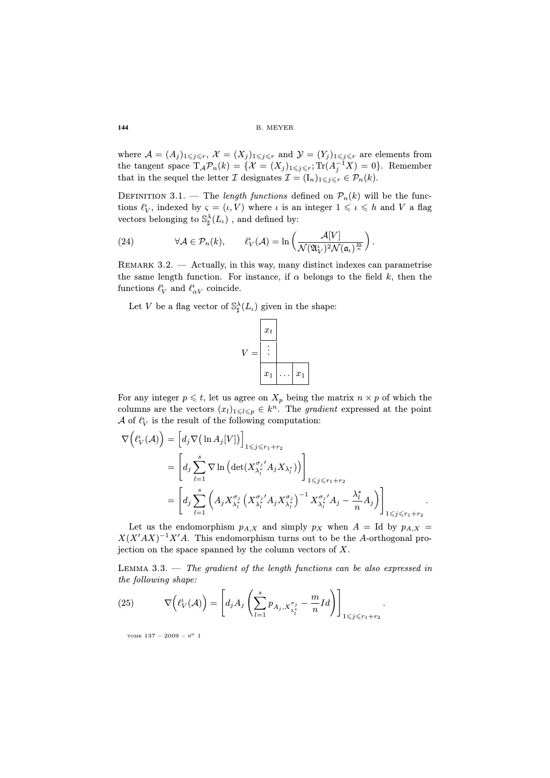where  $\mathcal{A} = (A_j)_{1 \leq j \leq r}, \mathcal{X} = (X_j)_{1 \leq j \leq r}$  and  $\mathcal{Y} = (Y_j)_{1 \leq j \leq r}$  are elements from the tangent space  $\mathrm{T}_{\mathcal{A}}\mathcal{P}_n(k) = \{X = (X_j)_{1 \leq j \leq r}; \mathrm{Tr}(A_j^{-1}X) = 0\}.$  Remember that in the sequel the letter I designates  $\mathcal{I} = (I_n)_{1 \leq i \leq r} \in \mathcal{P}_n(k)$ .

DEFINITION 3.1. — The length functions defined on  $\mathcal{P}_n(k)$  will be the functions  $\ell_V^{\iota}$ , indexed by  $\varsigma = (\iota, V)$  where  $\iota$  is an integer  $1 \leqslant \iota \leqslant h$  and V a flag vectors belonging to  $\mathbb{S}_{\sharp}^{\lambda}(L_{\iota})$  , and defined by:

(24) 
$$
\forall \mathcal{A} \in \mathcal{P}_n(k), \qquad \ell_V^{\iota}(\mathcal{A}) = \ln \left( \frac{\mathcal{A}[V]}{\mathcal{N}(\mathfrak{A}_V^{\iota})^2 \mathcal{N}(\mathfrak{a}_\iota)^{\frac{m}{n}}} \right).
$$

REMARK  $3.2.$  — Actually, in this way, many distinct indexes can parametrise the same length function. For instance, if  $\alpha$  belongs to the field k, then the functions  $\ell_V^{\iota}$  and  $\ell_{\alpha V}^{\iota}$  coincide.

Let V be a flag vector of  $\mathbb{S}_{\sharp}^{\lambda}(L_{\iota})$  given in the shape:



For any integer  $p \leq t$ , let us agree on  $X_p$  being the matrix  $n \times p$  of which the columns are the vectors  $(x_l)_{1 \leq l \leq p} \in k^n$ . The gradient expressed at the point  ${\mathcal A}$  of  $\ell_V^\iota$  is the result of the following computation:

$$
\nabla \Big( \ell_V^{\iota}(\mathcal{A}) \Big) = \Big[ d_j \nabla \big( \ln A_j[V] \big) \Big]_{1 \leq j \leq r_1 + r_2}
$$
  
\n
$$
= \Big[ d_j \sum_{l=1}^{s} \nabla \ln \Big( \det(X_{\lambda_l^*}^{\sigma_j'} A_j X_{\lambda_l^*}) \Big) \Big]_{1 \leq j \leq r_1 + r_2}
$$
  
\n
$$
= \Big[ d_j \sum_{l=1}^{s} \Big( A_j X_{\lambda_l^*}^{\sigma_j} \Big(X_{\lambda_l^*}^{\sigma_j'} A_j X_{\lambda_l^*}^{\sigma_j} \Big)^{-1} X_{\lambda_l^*}^{\sigma_j'} A_j - \frac{\lambda_l^*}{n} A_j \Big) \Big]_{1 \leq j \leq r_1 + r_2}.
$$

Let us the endomorphism  $p_{A,X}$  and simply  $p_X$  when  $A = Id$  by  $p_{A,X} =$  $X(X'AX)^{-1}X'A$ . This endomorphism turns out to be the A-orthogonal projection on the space spanned by the column vectors of  $X$ .

LEMMA 3.3.  $\cdots$  The gradient of the length functions can be also expressed in the following shape:

.

(25) 
$$
\nabla \left( \ell_V^{\iota}(\mathcal{A}) \right) = \left[ d_j A_j \left( \sum_{l=1}^s p_{A_j, X_{\lambda_l^*}^{\sigma_j}} - \frac{m}{n} I d \right) \right]_{1 \leq j \leq r_1 + r_2}
$$

TOME  $137 - 2009 - N^o$  1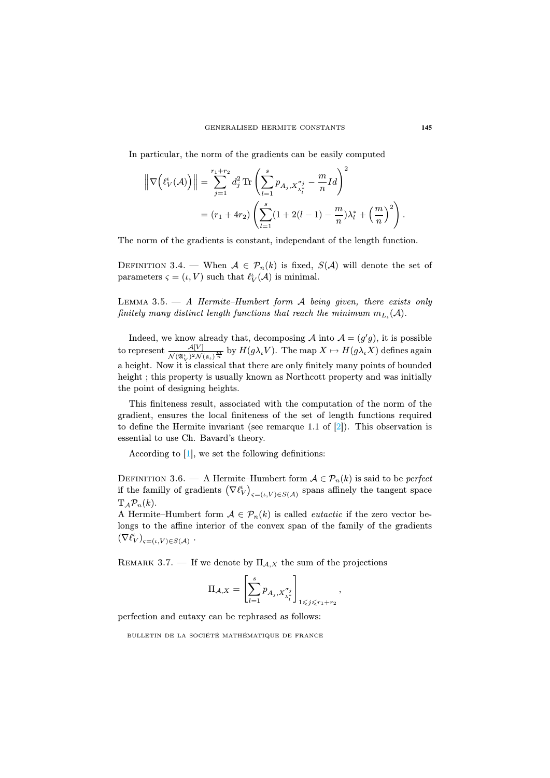In particular, the norm of the gradients can be easily computed

$$
\left\| \nabla \left( \ell_V^{\iota}(\mathcal{A}) \right) \right\| = \sum_{j=1}^{r_1 + r_2} d_j^2 \operatorname{Tr} \left( \sum_{l=1}^{s} p_{A_j, X_{\lambda_l^*}^{\sigma_j}} - \frac{m}{n} I d \right)^2
$$
  
=  $(r_1 + 4r_2) \left( \sum_{l=1}^{s} (1 + 2(l - 1) - \frac{m}{n}) \lambda_l^* + \left( \frac{m}{n} \right)^2 \right).$ 

The norm of the gradients is constant, independant of the length function.

DEFINITION 3.4. — When  $A \in \mathcal{P}_n(k)$  is fixed,  $S(A)$  will denote the set of parameters  $\varsigma = (\iota, V)$  such that  $\ell_V^{\iota}(\mathcal{A})$  is minimal.

LEMMA 3.5.  $-$  A Hermite–Humbert form  $A$  being given, there exists only finitely many distinct length functions that reach the minimum  $m_{L_i}({\mathcal A}).$ 

Indeed, we know already that, de[com](#page-30-1)posing A into  $A = (g'g)$ , it is possible to represent  $\frac{\mathcal{A}[V]}{\mathcal{N}(\mathfrak{A}'_V)^2 \mathcal{N}(\mathfrak{a}_\iota)^{\frac{m}{n}}}$  by  $H(g\lambda_\iota V)$ . The map  $X \mapsto H(g\lambda_\iota X)$  defines again [a](#page-30-0) height. Now it is classical that there are only finitely many points of bounded height ; this property is usually known as Northcott property and was initially the point of designing heights.

This finiteness result, associated with the computation of the norm of the gradient, ensures the local finiteness of the set of length functions required to define the Hermite invariant (see remarque 1.1 of [2]). This observation is essential to use Ch. Bavard's theory.

According to [1], we set the following definitions:

DEFINITION 3.6. — A Hermite–Humbert form  $A \in \mathcal{P}_n(k)$  is said to be *perfect* if the familly of gradients  $(\nabla \ell_V^{\iota})_{\varsigma = (\iota, V) \in S(\mathcal{A})}$  spans affinely the tangent space  $T_A \mathcal{P}_n(k)$ .

A Hermite–Humbert form  $A \in \mathcal{P}_n(k)$  is called *eutactic* if the zero vector belongs to the affine interior of the convex span of the family of the gradients  $(\nabla \ell_V^{\iota})_{\varsigma = (\iota, V) \in S(\mathcal{A})}$ .

REMARK 3.7. — If we denote by  $\Pi_{A,X}$  the sum of the projections

$$
\Pi_{\mathcal{A}, X} = \left[ \sum_{l=1}^s p_{A_j, X_{\lambda_l^*}^{\sigma_j}} \right]_{1 \leqslant j \leqslant r_1 + r_2},
$$

perfection and eutaxy can be rephrased as follows: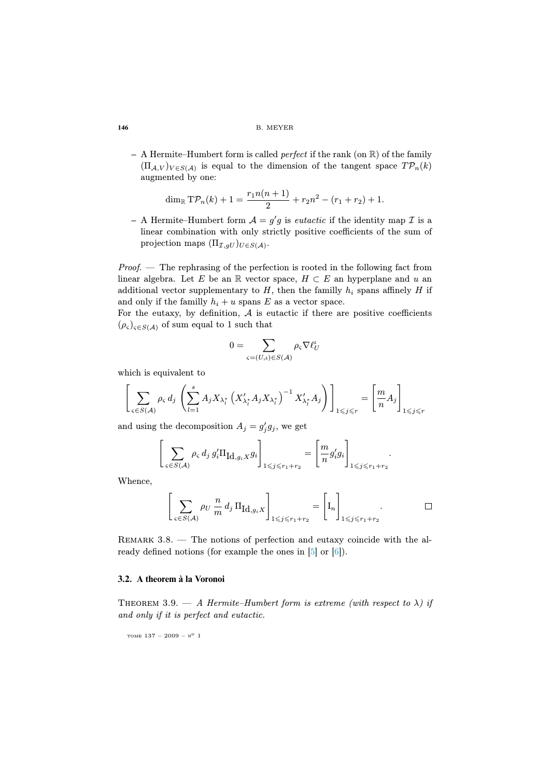**–** A Hermite–Humbert form is called perfect if the rank (on R) of the family  $(\Pi_{\mathcal{A},V})_{V\in S(\mathcal{A})}$  is equal to the dimension of the tangent space  $T\mathcal{P}_n(k)$ augmented by one:

$$
\dim_{\mathbb{R}} \mathrm{TP}_n(k) + 1 = \frac{r_1 n(n+1)}{2} + r_2 n^2 - (r_1 + r_2) + 1.
$$

 $-$  A Hermite–Humbert form  $\mathcal{A} = g'g$  is *eutactic* if the identity map  $\mathcal{I}$  is a linear combination with only strictly positive coefficients of the sum of projection maps  $(\Pi_{\mathcal{I},gU})_{U\in S(\mathcal{A})}$ .

Proof. — The rephrasing of the perfection is rooted in the following fact from linear algebra. Let E be an R vector space,  $H \subset E$  an hyperplane and u an additional vector supplementary to  $H$ , then the familly  $h_i$  spans affinely  $H$  if and only if the familly  $h_i + u$  spans E as a vector space.

For the eutaxy, by definition,  $A$  is eutactic if there are positive coefficients  $(\rho_{\varsigma})_{\varsigma \in S(\mathcal{A})}$  of sum equal to 1 such that

$$
0 = \sum_{\varsigma = (U,\iota) \in S(\mathcal{A})} \rho_{\varsigma} \nabla \ell_U^{\iota}
$$

which is equivalent to

$$
\left[\sum_{\varsigma \in S(\mathcal{A})} \rho_{\varsigma} d_j \left( \sum_{l=1}^s A_j X_{\lambda_l^*} \left( X_{\lambda_l^*}^{\prime} A_j X_{\lambda_l^*} \right)^{-1} X_{\lambda_l^*}^{\prime} A_j \right) \right]_{1 \leqslant j \leqslant r} = \left[\frac{m}{n} A_j \right]_{1 \leqslant j \leqslant r}
$$

and using the decomposition  $A_j = g'_j g_j$ , we get

$$
\left[\sum_{\varsigma \in S(\mathcal{A})} \rho_{\varsigma} d_j g_i' \Pi_{\mathrm{Id}, g_i \times g_i}\right]_{1 \leqslant j \leqslant r_1 + r_2} = \left[\frac{m}{n} g_i' g_i\right]_{1 \leqslant j \leqslant r_1 + r_2}.
$$

Whence,

$$
\left[\sum_{\varsigma \in S(\mathcal{A})} \rho_U \frac{n}{m} d_j \Pi_{\mathrm{Id}, g_i X}\right]_{1 \leqslant j \leqslant r_1 + r_2} = \left[\mathrm{I}_n\right]_{1 \leqslant j \leqslant r_1 + r_2}.
$$

Remark 3.8. — The notions of perfection and eutaxy coincide with the already defined notions (for example the ones in [5] or [6]).

#### **3.2. A theorem à la Voronoi**

THEOREM 3.9.  $-$  A Hermite–Humbert form is extreme (with respect to  $\lambda$ ) if and only if it is perfect and eutactic.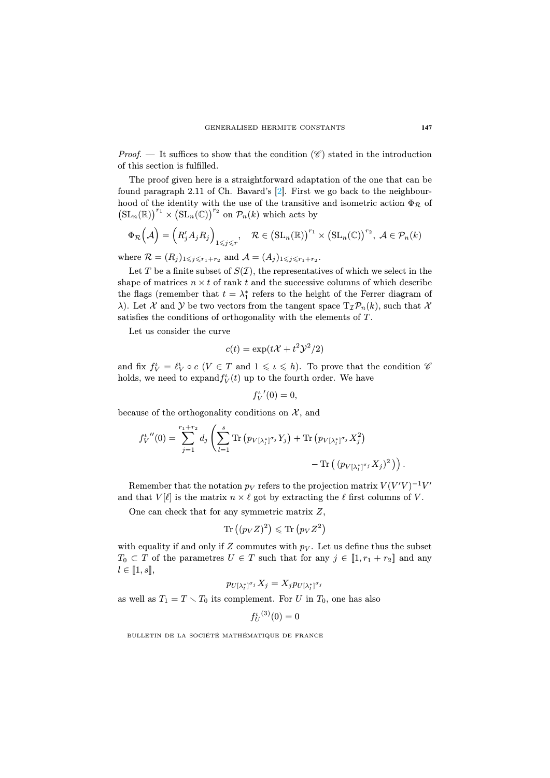*Proof.* — It suffices to show that the condition  $(\mathscr{C})$  stated in the introduction of this section is fulfilled.

The proof given here is a straightforward adaptation of the one that can be found paragraph 2.11 of Ch. Bavard's [2]. First we go back to the neighbourhood of the identity with the use of the transitive and isometric action  $\Phi_{\mathcal{R}}$  of  $\left(\mathrm{SL}_n(\mathbb{R})\right)^{r_1} \times \left(\mathrm{SL}_n(\mathbb{C})\right)^{r_2}$  on  $\mathcal{P}_n(k)$  which acts by

$$
\Phi_{\mathcal{R}}\left(\mathcal{A}\right) = \left(R'_j A_j R_j\right)_{1 \leqslant j \leqslant r}, \quad \mathcal{R} \in \left(\operatorname{SL}_n(\mathbb{R})\right)^{r_1} \times \left(\operatorname{SL}_n(\mathbb{C})\right)^{r_2}, \, \mathcal{A} \in \mathcal{P}_n(k)
$$

where  $\mathcal{R} = (R_j)_{1 \leqslant j \leqslant r_1+r_2}$  and  $\mathcal{A} = (A_j)_{1 \leqslant j \leqslant r_1+r_2}$ .

Let T be a finite subset of  $S(\mathcal{I})$ , the representatives of which we select in the shape of matrices  $n \times t$  of rank t and the successive columns of which describe the flags (remember that  $t = \lambda_1^*$  refers to the height of the Ferrer diagram of  $\lambda$ ). Let X and Y be two vectors from the tangent space  $T_{\tau} \mathcal{P}_{n}(k)$ , such that X satisfies the conditions of orthogonality with the elements of T.

Let us consider the curve

$$
c(t) = \exp(t\mathcal{X} + t^2 \mathcal{Y}^2/2)
$$

and fix  $f_V^{\iota} = \ell_V^{\iota} \circ c$  ( $V \in T$  and  $1 \leq \iota \leq h$ ). To prove that the condition  $\mathscr{C}$ holds, we need to expand $f_V^{\iota}(t)$  up to the fourth order. We have

$$
{f_V'}(0) = 0,
$$

because of the orthogonality conditions on  $\mathcal{X}$ , and

$$
f_V^{t \, \prime \prime}(0) = \sum_{j=1}^{r_1 + r_2} d_j \left( \sum_{l=1}^s \text{Tr} \left( p_{V[\lambda_l^*]^{\sigma_j}} Y_j \right) + \text{Tr} \left( p_{V[\lambda_l^*]^{\sigma_j}} X_j^2 \right) - \text{Tr} \left( \left( p_{V[\lambda_l^*]^{\sigma_j}} X_j \right)^2 \right) \right).
$$

Remember that the notation  $p_V$  refers to the projection matrix  $V(V'V)^{-1}V'$ and that  $V[\ell]$  is the matrix  $n \times \ell$  got by extracting the  $\ell$  first columns of V.

One can check that for any symmetric matrix Z,

$$
\mathrm{Tr}\left( (p_V Z)^2 \right) \leqslant \mathrm{Tr}\left( p_V Z^2 \right)
$$

with equality if and only if Z commutes with  $p_V$ . Let us define thus the subset  $T_0 \subset T$  of the parametres  $U \in T$  such that for any  $j \in [1, r_1 + r_2]$  and any  $l \in [\![1, s]\!],$ 

$$
p_{U[\lambda^*_l]^{\sigma_j}}X_j=X_jp_{U[\lambda^*_l]^{\sigma_j}}
$$

as well as  $T_1 = T \setminus T_0$  its complement. For U in  $T_0$ , one has also

$$
{f_U^{\iota}}^{(3)}(0)=0
$$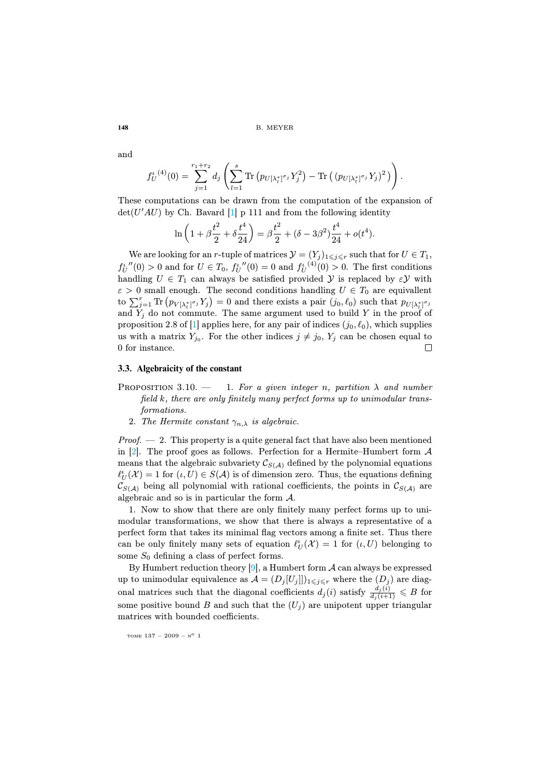and

$$
f_U^{i(4)}(0) = \sum_{j=1}^{r_1+r_2} d_j \left( \sum_{l=1}^s \text{Tr} \left( p_{U[\lambda_l^*]^{\sigma_j}} Y_j^2 \right) - \text{Tr} \left( (p_{U[\lambda_l^*]^{\sigma_j}} Y_j)^2 \right) \right).
$$

These computations can be drawn from the computation of the expansion of  $\det(U'AU)$  by Ch. Bavard [1] p 111 and from the following identity

$$
\ln\left(1+\beta\frac{t^2}{2}+\delta\frac{t^4}{24}\right) = \beta\frac{t^2}{2} + (\delta - 3\beta^2)\frac{t^4}{24} + o(t^4).
$$

We are looking for an r-tuple of matrices  $\mathcal{Y} = (Y_j)_{1 \leq j \leq r}$  such that for  $U \in T_1$ ,  $f_U^{u''}(0) > 0$  and for  $U \in T_0$ ,  $f_U^{u''}(0) = 0$  and  $f_U^{u}(0) > 0$ . The first conditions handling  $U \in T_1$  can always be satisfied provided  $\mathcal Y$  is replaced by  $\epsilon \mathcal Y$  with  $\varepsilon > 0$  small enough. The second conditions handling  $U \in T_0$  are equivallent to  $\sum_{j=1}^r \text{Tr} (p_{V[\lambda_i^*]} \circ Y_j) = 0$  and there exists a pair  $(j_0, \ell_0)$  such that  $p_{U[\lambda_i^*]} \circ Y_j$ and  $Y_j$  do not commute. The same argument used to build Y in the proof of proposition 2.8 of [1] applies here, for any pair of indices  $(j_0, \ell_0)$ , which supplies us with a matrix  $Y_{j_0}$ . For the other indices  $j \neq j_0$ ,  $Y_j$  can be chosen equal to 0 for instance.  $\Box$ 

## **3.3. Algebraicity of the constant**

- PROPOSITION 3.10. 1. For a given integer n, partition  $\lambda$  and number field k, there are only finitely many perfect forms up to unimodular transformations.
	- 2. The Hermite constant  $\gamma_{n,\lambda}$  is algebraic.

 $Proof. - 2.$  This property is a quite general fact that have also been mentioned in  $[2]$ . The proof goes as follows. Perfection for a Hermite–Humbert form  $\mathcal A$ means that the algebraic subvariety  $\mathcal{C}_{S(\mathcal{A})}$  defined by the polynomial equations  $\ell_U^{\iota}(\mathcal{X}) = 1$  for  $(\iota, U) \in S(\mathcal{A})$  is of dimension zero. Thus, the equations defining  $\mathcal{C}_{S(\mathcal{A})}$  being all [p](#page-31-6)olynomial with rational coefficients, the points in  $\mathcal{C}_{S(\mathcal{A})}$  are algebraic and so is in particular the form A.

1. Now to show that there are only finitely many perfect forms up to unimodular transformations, we show that there is always a representative of a perfect form that takes its minimal flag vectors among a finite set. Thus there can be only finitely many sets of equation  $\ell_U^{\iota}(\mathcal{X}) = 1$  for  $(\iota, U)$  belonging to some  $S_0$  defining a class of perfect forms.

By Humbert reduction theory [9], a Humbert form  $\mathcal A$  can always be expressed up to unimodular equivalence as  $\mathcal{A} = (D_j[U_j]])_{1 \leq j \leq r}$  where the  $(D_j)$  are diagonal matrices such that the diagonal coefficients  $d_j(i)$  satisfy  $\frac{d_j(i)}{d_j(i+1)} \leqslant B$  for some positive bound B and such that the  $(U_i)$  are unipotent upper triangular matrices with bounded coefficients.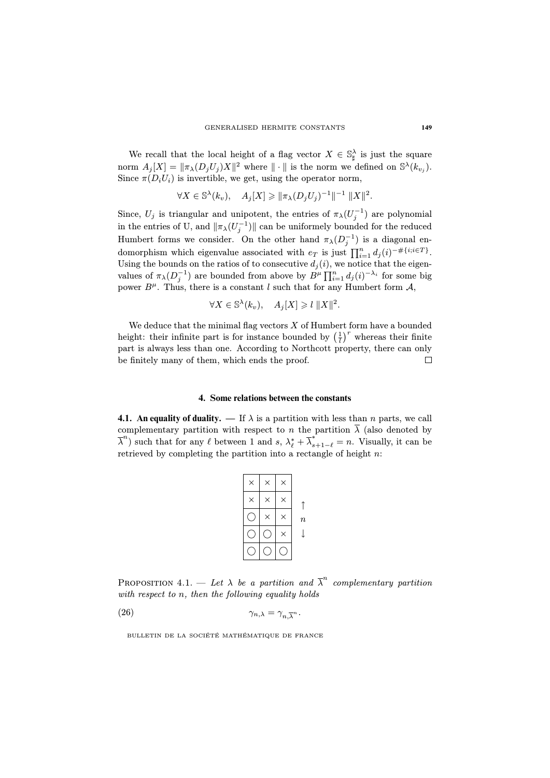We recall that the local height of a flag vector  $X \in \mathbb{S}^{\lambda}_{\sharp}$  is just the square norm  $A_j[X] = \|\pi_\lambda(D_j U_j) X\|^2$  where  $\|\cdot\|$  is the norm we defined on  $\mathbb{S}^{\lambda}(k_{v_j}).$ Since  $\pi(D_i U_i)$  is invertible, we get, using the operator norm,

$$
\forall X \in \mathbb{S}^{\lambda}(k_v), \quad A_j[X] \geq \|\pi_{\lambda}(D_j U_j)^{-1}\|^{-1} \|X\|^2.
$$

Since,  $U_j$  is triangular and unipotent, the entries of  $\pi_\lambda(U_j^{-1})$  are polynomial in the entries of U, and  $\|\pi_{\lambda}(U_j^{-1})\|$  can be uniformely bounded for the reduced Humbert forms we consider. On the other hand  $\pi_{\lambda}(D_j^{-1})$  is a diagonal endomorphism which eigenvalue associated with  $e_T$  is just  $\prod_{i=1}^n d_j(i)^{-\#\{i; i \in T\}}$ . Using the bounds on the ratios of to consecutive  $d_i(i)$ , we notice that the eigenvalues of  $\pi_{\lambda}(D_j^{-1})$  are bounded from above by  $B^{\mu} \prod_{i=1}^n d_j(i)^{-\lambda_i}$  for some big power  $B^{\mu}$ . Thus, there is a constant l such that for any Humbert form  $\mathcal{A}$ ,

$$
\forall X \in \mathbb{S}^{\lambda}(k_v), \quad A_j[X] \geqslant l \, \|X\|^2.
$$

We deduce that the minimal flag vectors  $X$  of Humbert form have a bounded height: their infinite part is for instance bounded by  $\left(\frac{1}{l}\right)^r$  whereas their finite part is always less than one. According to Northcott property, there can only be finitely many of them, which ends the proof.  $\Box$ 

#### **4. Some relations between the constants**

**4.1. An equality of duality.** — If  $\lambda$  is a partition with less than n parts, we call complementary partition with respect to n the partition  $\overline{\lambda}$  (also denoted by  $\overline{\lambda}^n$ ) such that for any  $\ell$  between 1 and  $s, \lambda_{\ell}^* + \overline{\lambda}_{s+1-\ell}^* = n$ . Visually, it can be retrieved by completing the partition into a rectangle of height  $n$ :

| $\times$ | × |         |
|----------|---|---------|
|          |   | $\it n$ |
|          |   |         |
|          |   |         |

PROPOSITION 4.1. — Let  $\lambda$  be a partition and  $\overline{\lambda}^n$  complementary partition with respect to n, then the following equality holds

(26) 
$$
\gamma_{n,\lambda} = \gamma_{n,\overline{\lambda}^n}.
$$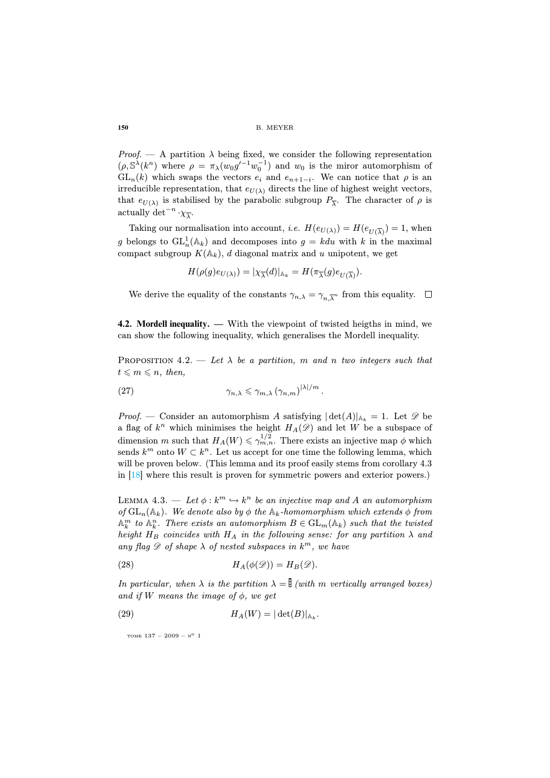Proof. — A partition  $\lambda$  being fixed, we consider the following representation  $(\rho, \mathbb{S}^{\lambda}(k^n))$  where  $\rho = \pi_{\lambda}(w_0 g'^{-1} w_0^{-1})$  and  $w_0$  is the miror automorphism of  $GL_n(k)$  which swaps the vectors  $e_i$  and  $e_{n+1-i}$ . We can notice that  $\rho$  is an irreducible representation, that  $e_{U(\lambda)}$  directs the line of highest weight vectors, that  $e_{U(\lambda)}$  is stabilised by the parabolic subgroup  $P_{\overline{\lambda}}$ . The character of  $\rho$  is actually det<sup>-n</sup>  $\cdot \chi_{\overline{\lambda}}$ .

Taking our normalisation into account, *i.e.*  $H(e_{U(\lambda)}) = H(e_{U(\overline{\lambda})}) = 1$ , when g belongs to  $\operatorname{GL}_n^1(\mathbb{A}_k)$  and decomposes into  $g = kdu$  with k in the maximal compact subgroup  $K(\mathbb{A}_k)$ , d diagonal matrix and u unipotent, we get

$$
H(\rho(g)e_{U(\lambda)}) = |\chi_{\overline{\lambda}}(d)|_{\mathbb{A}_k} = H(\pi_{\overline{\lambda}}(g)e_{U(\overline{\lambda})}).
$$

We derive the equality of the constants  $\gamma_{n,\lambda} = \gamma_{n,\overline{\lambda}^n}$  from this equality.

**4.2. Mordell inequality. —** With the viewpoint of twisted heigths in mind, we can show the following inequality, which generalises the Mordell inequality.

PROPOSITION 4.2. — Let  $\lambda$  be a partition, m and n two integers such that  $t \leqslant m \leqslant n$ , then,

(27) 
$$
\gamma_{n,\lambda} \leq \gamma_{m,\lambda} \left( \gamma_{n,m} \right)^{|\lambda|/m}.
$$

*Proof.* — Consider an automorphism A satisfying  $|\det(A)|_{A_k} = 1$ . Let  $\mathscr{D}$  be a flag of  $k^n$  which minimises the height  $H_A(\mathscr{D})$  and let W be a subspace of dimension m such that  $H_A(W) \leq \gamma_{m,n}^{1/2}$ . There exists an injective map  $\phi$  which sends  $k^m$  onto  $W \subset k^n$ . Let us accept for one time the following lemma, which will be proven below. (This lemma and its proof easily stems from corollary 4.3) in [18] where this result is proven for symmetric powers and exterior powers.)

LEMMA 4.3. — Let  $\phi : k^m \hookrightarrow k^n$  be an injective map and A an automorphism of  $GL_n(\mathbb{A}_k)$ . We denote also by  $\phi$  the  $\mathbb{A}_k$ -homomorphism which extends  $\phi$  from  $\mathbb{A}_k^m$  to  $\mathbb{A}_k^n$ . There exists an automorphism  $B \in GL_m(\mathbb{A}_k)$  such that the twisted height  $H_B$  coincides with  $H_A$  in the following sense: for any partition  $\lambda$  and any flag  $\mathscr D$  of shape  $\lambda$  of nested subspaces in  $k^m$ , we have

(28) 
$$
H_A(\phi(\mathscr{D})) = H_B(\mathscr{D}).
$$

In particular, when  $\lambda$  is the partition  $\lambda = \frac{1}{2}$  (with m vertically arranged boxes) and if W means the image of  $\phi$ , we get

(29) 
$$
H_A(W) = |\det(B)|_{\mathbb{A}_k}.
$$

TOME  $137 - 2009 - N^0$  1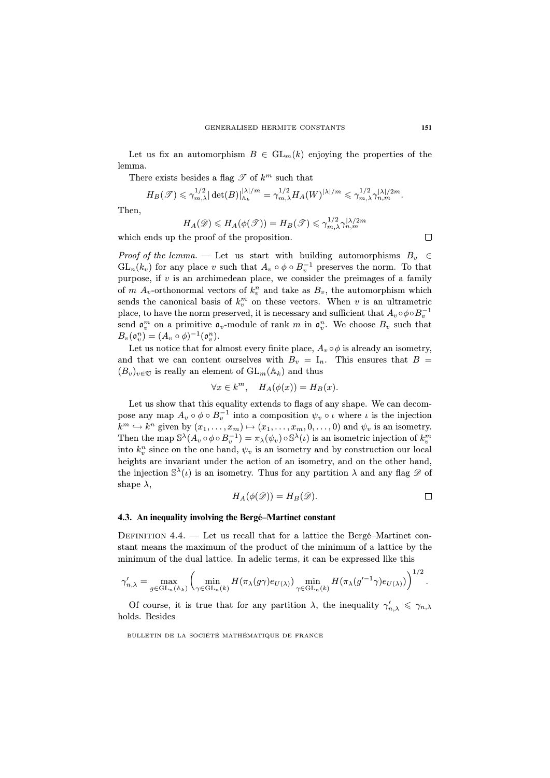Let us fix an automorphism  $B \in GL_m(k)$  enjoying the properties of the lemma.

There exists besides a flag  $\mathscr T$  of  $k^m$  such that

$$
H_B(\mathscr{T}) \leq \gamma_{m,\lambda}^{1/2} |\det(B)|_{\mathbb{A}_k}^{|\lambda|/m} = \gamma_{m,\lambda}^{1/2} H_A(W)^{|\lambda|/m} \leq \gamma_{m,\lambda}^{1/2} \gamma_{n,m}^{|\lambda|/2m}.
$$

Then,

$$
H_A(\mathscr{D}) \leq H_A(\phi(\mathscr{T})) = H_B(\mathscr{T}) \leq \gamma_{m,\lambda}^{1/2} \gamma_{n,m}^{|\lambda/2m}
$$

which ends up the proof of the proposition.

Proof of the lemma. — Let us start with building automorphisms  $B_v \in$  $GL_n(k_v)$  for any place v such that  $A_v \circ \phi \circ B_v^{-1}$  preserves the norm. To that purpose, if  $v$  is an archimedean place, we consider the preimages of a family of  $m A_v$ -orthonormal vectors of  $k_v^n$  and take as  $B_v$ , the automorphism which sends the canonical basis of  $k_v^m$  on these vectors. When v is an ultrametric place, to have the norm preserved, it is necessary and sufficient that  $A_v \circ \phi \circ B_v^{-1}$ send  $\mathfrak{o}_v^m$  on a primitive  $\mathfrak{o}_v$ -module of rank m in  $\mathfrak{o}_v^n$ . We choose  $B_v$  such that  $B_v(\mathfrak{o}_v^n) = (A_v \circ \phi)^{-1}(\mathfrak{o}_v^n).$ 

Let us notice that for almost every finite place,  $A_v \circ \phi$  is already an isometry, and that we can content ourselves with  $B_v = I_n$ . This ensures that  $B =$  $(B_v)_{v \in \mathfrak{V}}$  is really an element of  $GL_m(\mathbb{A}_k)$  and thus

$$
\forall x \in k^m, \quad H_A(\phi(x)) = H_B(x).
$$

Let us show that this equality extends to flags of any shape. We can decompose any map  $A_v \circ \phi \circ B_v^{-1}$  into a composition  $\psi_v \circ \iota$  where  $\iota$  is the injection  $k^m \hookrightarrow k^n$  given by  $(x_1, \ldots, x_m) \mapsto (x_1, \ldots, x_m, 0, \ldots, 0)$  and  $\psi_v$  is an isometry. Then the map  $\mathbb{S}^{\lambda}(A_v \circ \phi \circ B_v^{-1}) = \pi_{\lambda}(\psi_v) \circ \mathbb{S}^{\lambda}(\iota)$  is an isometric injection of  $k_v^m$ into  $k_v^n$  since on the one hand,  $\psi_v$  is an isometry and by construction our local heights are invariant under the action of an isometry, and on the other hand, the injection  $\mathbb{S}^{\lambda}(\iota)$  is an isometry. Thus for any partition  $\lambda$  and any flag  $\mathscr{D}$  of shape  $\lambda$ ,

$$
H_A(\phi(\mathscr{D})) = H_B(\mathscr{D}).
$$

#### **4.3. An inequality involving the Bergé–Martinet constant**

DEFINITION  $4.4.$  — Let us recall that for a lattice the Bergé–Martinet constant means the maximum of the product of the minimum of a lattice by the minimum of the dual lattice. In adelic terms, it can be expressed like this

$$
\gamma'_{n,\lambda} = \max_{g \in \mathrm{GL}_n(\mathbb{A}_k)} \left( \min_{\gamma \in \mathrm{GL}_n(k)} H(\pi_\lambda(g\gamma) e_{U(\lambda)}) \min_{\gamma \in \mathrm{GL}_n(k)} H(\pi_\lambda(g'^{-1}\gamma) e_{U(\lambda)}) \right)^{1/2}.
$$

Of course, it is true that for any partition  $\lambda$ , the inequality  $\gamma'_{n,\lambda} \leq \gamma_{n,\lambda}$ holds. Besides

BULLETIN DE LA SOCIÉTÉ MATHÉMATIQUE DE FRANCE

 $\Box$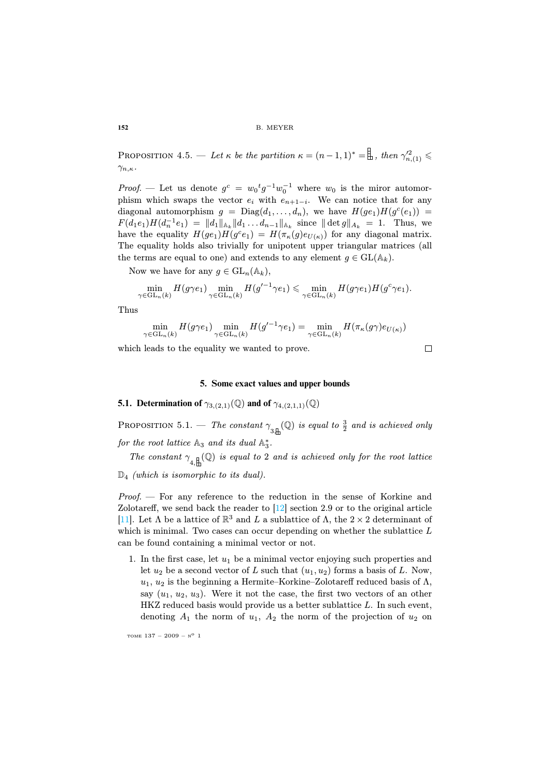**PROPOSITION** 4.5. — Let  $\kappa$  be the partition  $\kappa = (n-1,1)^* = \frac{1}{m}$ , then  $\gamma_{n,(1)}^{\prime 2} \leqslant$  $\gamma_{n,\kappa}$ .

*Proof.* — Let us denote  $g^c = w_0^t g^{-1} w_0^{-1}$  where  $w_0$  is the miror automorphism which swaps the vector  $e_i$  with  $e_{n+1-i}$ . We can notice that for any diagonal automorphism  $g = \text{Diag}(d_1, \ldots, d_n)$ , we have  $H(ge_1)H(g^c(e_1)) =$  $F(d_1e_1)H(d_n^{-1}e_1) = ||d_1||_{A_k} ||d_1 \dots d_{n-1}||_{A_k}$  since  $|| \det g ||_{A_k} = 1$ . Thus, we have the equality  $H(ge_1)H(g^ce_1) = H(\pi_{\kappa}(g)e_{U(\kappa)})$  for any diagonal matrix. The equality holds also trivially for unipotent upper triangular matrices (all the terms are equal to one) and extends to any element  $g \in GL(A_k)$ .

Now we have for any  $g \in GL_n(\mathbb{A}_k)$ ,

$$
\min_{\gamma \in \mathrm{GL}_n(k)} H(g\gamma e_1) \min_{\gamma \in \mathrm{GL}_n(k)} H(g'^{-1}\gamma e_1) \leq \min_{\gamma \in \mathrm{GL}_n(k)} H(g\gamma e_1) H(g^c \gamma e_1).
$$

Thus

$$
\min_{\gamma \in \mathrm{GL}_n(k)} H(g\gamma e_1) \min_{\gamma \in \mathrm{GL}_n(k)} H(g'^{-1}\gamma e_1) = \min_{\gamma \in \mathrm{GL}_n(k)} H(\pi_{\kappa}(g\gamma)e_{U(\kappa)})
$$

which leads to the equality we wanted to prove.

 $\Box$ 

#### **5. Some exact values and upper bounds**

**5.1. Determination of**  $\gamma_{3,(2,1)}(\mathbb{Q})$  and of  $\gamma_{4,(2,1,1)}(\mathbb{Q})$ 

PROPOSI[T](#page-31-7)ION 5.1. — The constant  $\gamma_{3\text{th}}(\mathbb{Q})$  is equal to  $\frac{3}{2}$  and is achieved only for the root lattice  $\mathbb{A}_3$  and its dual  $\mathbb{A}_3^*$ .

The constant  $\gamma_{4,\underline{H}}(\mathbb{Q})$  is equal to 2 and is achieved only for the root lattice

 $\mathbb{D}_4$  (which is isomorphic to its dual).

Proof. — For any reference to the reduction in the sense of Korkine and Zolotareff, we send back the reader to [12] section 2.9 or to the original article [11]. Let  $\Lambda$  be a lattice of  $\mathbb{R}^3$  and  $L$  a sublattice of  $\Lambda$ , the  $2 \times 2$  determinant of which is minimal. Two cases can occur depending on whether the sublattice L can be found containing a minimal vector or not.

1. In the first case, let  $u_1$  be a minimal vector enjoying such properties and let  $u_2$  be a second vector of L such that  $(u_1, u_2)$  forms a basis of L. Now,  $u_1, u_2$  is the beginning a Hermite–Korkine–Zolotareff reduced basis of  $\Lambda$ , say  $(u_1, u_2, u_3)$ . Were it not the case, the first two vectors of an other HKZ reduced basis would provide us a better sublattice L. In such event, denoting  $A_1$  the norm of  $u_1$ ,  $A_2$  the norm of the projection of  $u_2$  on

TOME  $137 - 2009 - N^0$  1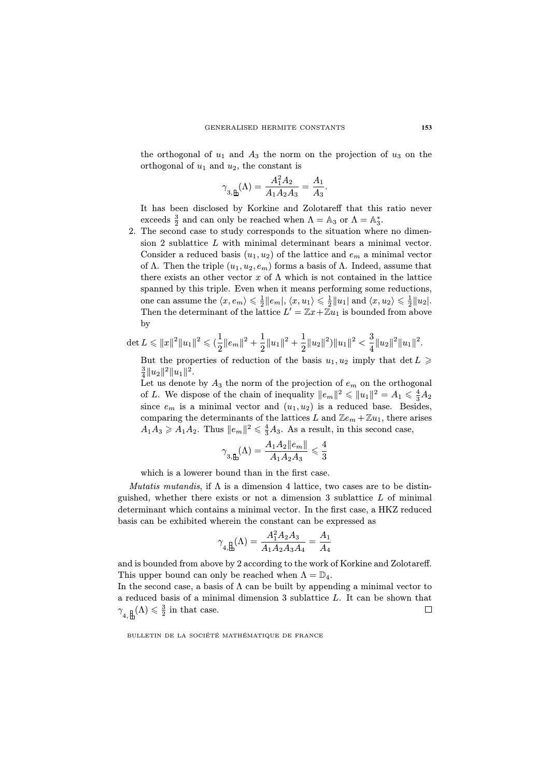the orthogonal of  $u_1$  and  $A_3$  the norm on the projection of  $u_3$  on the orthogonal of  $u_1$  and  $u_2$ , the constant is

$$
\gamma_{3,\mathbf{\mathbb{H}}}(\Lambda) = \frac{A_1^2 A_2}{A_1 A_2 A_3} = \frac{A_1}{A_3}.
$$

It has been disclosed by Korkine and Zolotareff that this ratio never exceeds  $\frac{3}{2}$  and can only be reached when  $\Lambda = \mathbb{A}_3$  or  $\Lambda = \mathbb{A}_3^*$ .

2. The second case to study corresponds to the situation where no dimension 2 sublattice L with minimal determinant bears a minimal vector. Consider a reduced basis  $(u_1, u_2)$  of the lattice and  $e_m$  a minimal vector of Λ. Then the triple  $(u_1, u_2, e_m)$  forms a basis of Λ. Indeed, assume that there exists an other vector x of  $\Lambda$  which is not contained in the lattice spanned by this triple. Even when it means performing some reductions, one can assume the  $\langle x, e_m \rangle \leqslant \frac{1}{2} ||e_m||, \langle x, u_1 \rangle \leqslant \frac{1}{2} ||u_1||$  and  $\langle x, u_2 \rangle \leqslant \frac{1}{2} ||u_2|$ . Then the determinant of the lattice  $L' = \mathbb{Z}x + \mathbb{Z}u_1$  is bounded from above by

$$
\det L \leqslant ||x||^2 ||u_1||^2 \leqslant (\frac{1}{2} ||e_m||^2 + \frac{1}{2} ||u_1||^2 + \frac{1}{2} ||u_2||^2) ||u_1||^2 < \frac{3}{4} ||u_2||^2 ||u_1||^2.
$$

But the properties of reduction of the basis  $u_1, u_2$  imply that  $\det L \geqslant$  $\frac{3}{4}||u_2||^2||u_1||^2.$ 

Let us denote by  $A_3$  the norm of the projection of  $e_m$  on the orthogonal of L. We dispose of the chain of inequality  $||e_m||^2 \le ||u_1||^2 = A_1 \le \frac{4}{3}A_2$ since  $e_m$  is a minimal vector and  $(u_1, u_2)$  is a reduced base. Besides, comparing the determinants of the lattices L and  $\mathbb{Z}e_m + \mathbb{Z}u_1$ , there arises  $A_1A_3 \geq A_1A_2$ . Thus  $||e_m||^2 \leq \frac{4}{3}A_3$ . As a result, in this second case,

$$
\gamma_{3,\operatorname{\underline{H}}}(\Lambda)=\frac{A_1A_2\|e_m\|}{A_1A_2A_3}\leqslant \frac{4}{3}
$$

which is a lowerer bound than in the first case.

Mutatis mutandis, if  $\Lambda$  is a dimension 4 lattice, two cases are to be distinguished, whether there exists or not a dimension 3 sublattice  $L$  of minimal determinant which contains a minimal vector. In the first case, a HKZ reduced basis can be exhibited wherein the constant can be expressed as

$$
\gamma_{4,{\rm \stackrel{\stackrel{.}{=}}{L}}}\!\!(\Lambda)=\frac{A_1^2A_2A_3}{A_1A_2A_3A_4}=\frac{A_1}{A_4}
$$

and is bounded from above by 2 according to the work of Korkine and Zolotareff. This upper bound can only be reached when  $\Lambda = \mathbb{D}_4$ .

In the second case, a basis of  $\Lambda$  can be built by appending a minimal vector to a reduced basis of a minimal dimension 3 sublattice L. It can be shown that  $\gamma_{4,\underbar{\boxplus}}(\Lambda) \leq \frac{3}{2}$  in that case.  $\Box$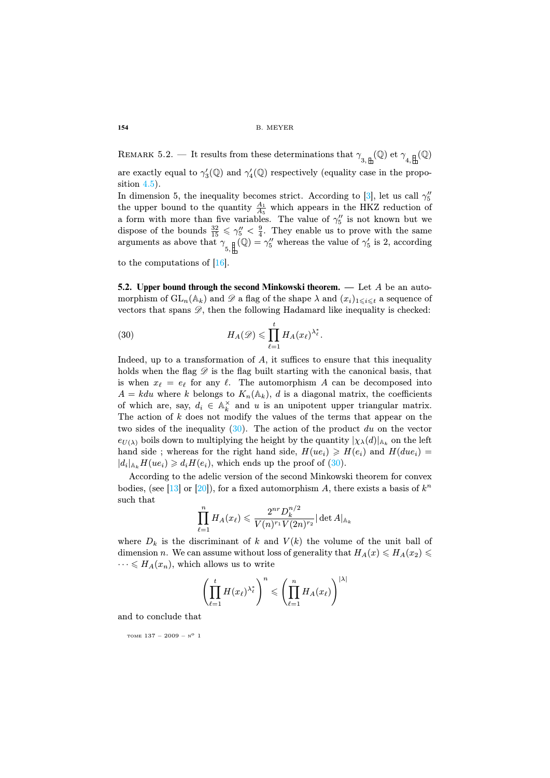REMARK 5.2. — It results from these determinations that  $\gamma_{3,\underleftarrow{\stackrel{1}{\to}}}(Q)$  et  $\gamma_{4,\underleftarrow{\stackrel{1}{\to}}}(Q)$ are ex[actl](#page-31-8)y equal to  $\gamma_3'(\mathbb{Q})$  and  $\gamma_4'(\mathbb{Q})$  respectively (equality case in the proposition 4.5).

In dimension 5, the inequality becomes strict. According to [3], let us call  $\gamma''_5$ the upper bound to the quantity  $\frac{A_1}{A_5}$  which appears in the HKZ reduction of a form with more than five variables. The value of  $\gamma''_5$  is not known but we dispose of the bounds  $\frac{32}{15} \leq \gamma''_5 < \frac{9}{4}$ . They enable us to prove with the same arguments as above that γ 5, (Q) = γ 00 <sup>5</sup> whereas the value of γ 0 5 is 2, according

<span id="page-28-0"></span>to the computations of [16].

**5.2. Upper bound through the second Minkowski theorem. —** Let A be an automorphism of  $GL_n(\mathbb{A}_k)$  and  $\mathscr D$  a flag of the shape  $\lambda$  and  $(x_i)_{1\leq i\leq t}$  a sequence of vectors that spans  $\mathscr{D}$ , then the following Hadamard like inequality is checked:

(30) 
$$
H_A(\mathscr{D}) \leqslant \prod_{\ell=1}^t H_A(x_\ell)^{\lambda_\ell^*}.
$$

Indeed, up to a transformation of A, it suffices to ensure that this inequality holds when the flag  $\mathscr D$  is the flag built starting with the canonical basis, that is when  $x_{\ell} = e_{\ell}$  for any  $\ell$ . The [auto](#page-28-0)morphism A can be decomposed into  $A = kdu$  where k belongs to  $K_n(\mathbb{A}_k)$ , d is a diagonal matrix, the coefficients of [wh](#page-32-3)ich are, say,  $d_i \in \mathbb{A}_k^{\times}$  and u is an unipotent upper triangular matrix. The action of k does not modify the values of the terms that appear on the two sides of the inequality  $(30)$ . The action of the product du on the vector  $e_{U(\lambda)}$  boils down to multiplying the height by the quantity  $|\chi_{\lambda}(d)|_{\mathbb{A}_k}$  on the left hand side; whereas for the right hand side,  $H(ue_i) \geq H(e_i)$  and  $H(due_i)$  $|d_i|_{A_k} H(ue_i) \geq d_i H(e_i)$ , which ends up the proof of (30).

According to the adelic version of the second Minkowski theorem for convex bodies, (see [13] or [20]), for a fixed automorphism A, there exists a basis of  $k^n$ such that

$$
\prod_{\ell=1}^n H_A(x_\ell) \leqslant \frac{2^{nr}D_k^{n/2}}{V(n)^{r_1}V(2n)^{r_2}}|\det A|_{\mathbb{A}_k}
$$

where  $D_k$  is the discriminant of k and  $V(k)$  the volume of the unit ball of dimension n. We can assume without loss of generality that  $H_A(x) \leq H_A(x_2) \leq$  $\cdots \leqslant H_A(x_n)$ , which allows us to write

$$
\left(\prod_{\ell=1}^t H(x_\ell)^{\lambda_\ell^*}\right)^n \leqslant \left(\prod_{\ell=1}^n H_A(x_\ell)\right)^{|\lambda|}
$$

and to conclude that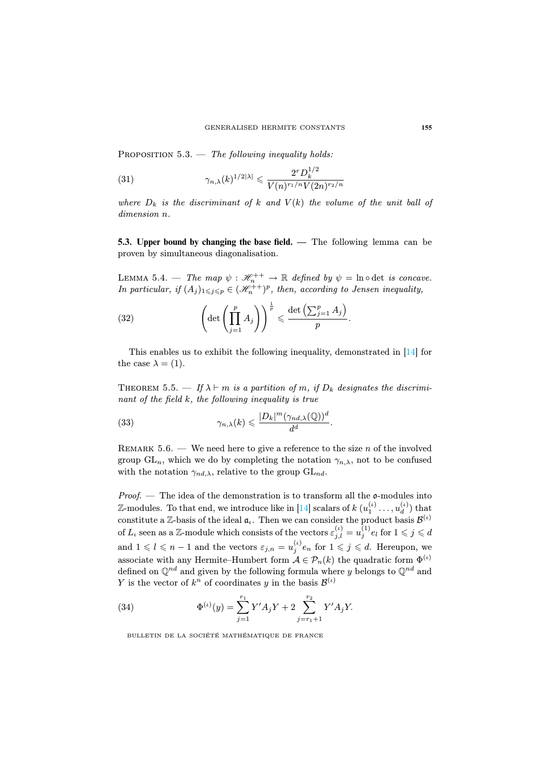PROPOSITION  $5.3.$  — The following inequality holds:

(31) 
$$
\gamma_{n,\lambda}(k)^{1/2|\lambda|} \leq \frac{2^r D_k^{1/2}}{V(n)^{r_1/n} V(2n)^{r_2/n}}
$$

where  $D_k$  is the discriminant of k and  $V(k)$  the volume of the unit ball of dimension n.

**5.3. Upper bound by changing the base field. —** The following lemma can be proven by simultaneous diagonalisation.

LEMMA 5.4. — The map  $\psi : \mathcal{H}_n^{++} \to \mathbb{R}$  defined by  $\psi = \ln \circ \det$  is concave. In particular, if  $(A_j)_{1 \leq j \leq p} \in (\mathcal{H}_n^{++})^p$ , then, according to Jensen inequality,

(32) 
$$
\left(\det\left(\prod_{j=1}^p A_j\right)\right)^{\frac{1}{p}} \leqslant \frac{\det\left(\sum_{j=1}^p A_j\right)}{p}.
$$

This enables us to exhibit the following inequality, demonstrated in [14] for the case  $\lambda = (1)$ .

THEOREM 5.5. — If  $\lambda \vdash m$  is a partition of m, if  $D_k$  designates the discriminant of the field k, the following inequality is true

(33) 
$$
\gamma_{n,\lambda}(k) \leqslant \frac{|D_k|^m (\gamma_{nd,\lambda}(\mathbb{Q}))^d}{d^d}.
$$

REMARK 5.6. — We need here to give a reference to the size  $n$  of the involved group  $GL_n$ , which we do by completing the notation  $\gamma_{n,\lambda}$ , not to be confused with the notation  $\gamma_{nd,\lambda}$ , relative to the group  $GL_{nd}$ .

*Proof.* — The idea of the demonstration is to transform all the  $\mathfrak{o}$ -modules into  $\mathbb{Z}\text{-modules. To that end, we introduce like in [14] scalars of } k\ (u^{(\iota)}_1,\ldots,u^{(\iota)}_d)$  $\binom{u}{d}$  that constitute a Z-basis of the ideal  $\mathfrak{a}_\iota$ . Then we can consider the product basis  $\mathcal{B}^{(\iota)}$  $\text{of } L_\iota \text{ seen as a $\mathbb{Z}$-module which consists of the vectors } \varepsilon^{(\iota)}_{j,l} = u^{(1)}_j e_l \text{ for } 1\leqslant j\leqslant d$ and  $1 \leqslant l \leqslant n-1$  and the vectors  $\varepsilon_{j,n} = u_j^{(l)} e_n$  for  $1 \leqslant j \leqslant d$ . Hereupon, we associate with any Hermite–Humbert form  $A \in \mathcal{P}_n(k)$  the quadratic form  $\Phi^{(\iota)}$ defined on  $\mathbb{Q}^{nd}$  and given by the following formula where y belongs to  $\mathbb{Q}^{nd}$  and Y is the vector of  $k^n$  of coordinates y in the basis  $\mathcal{B}^{(\iota)}$ 

(34) 
$$
\Phi^{(\iota)}(y) = \sum_{j=1}^{r_1} Y' A_j Y + 2 \sum_{j=r_1+1}^{r_2} Y' A_j Y.
$$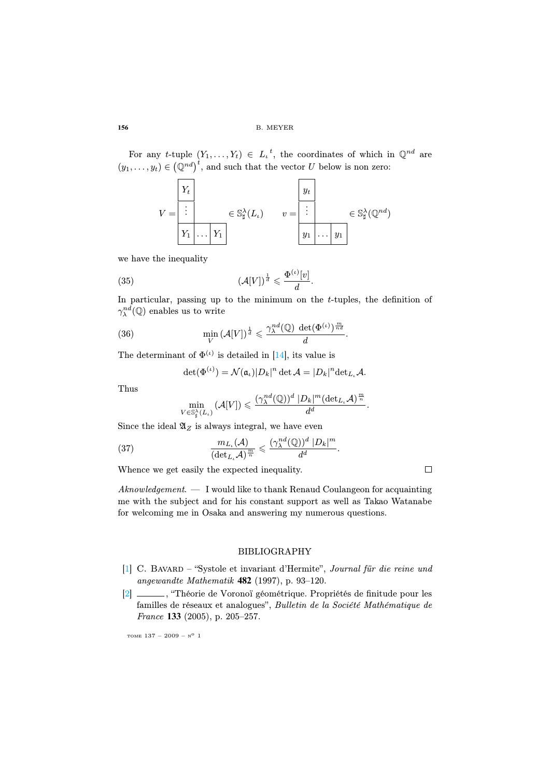For any t-tuple  $(Y_1, \ldots, Y_t) \in L_t^t$ , the coordinates of which in  $\mathbb{Q}^{nd}$  are  $(y_1, \ldots, y_t) \in (\mathbb{Q}^{nd})^t$ , and such that the vector U below is non zero:

$$
V = \begin{array}{|c|c|c|c|c|} \hline Y_t & & & & y_t \\ \hline \vdots & & & \in \mathbb{S}_{\sharp}^{\lambda}(L_{\iota}) & & v = & \hline \vdots & & & \in \mathbb{S}_{\sharp}^{\lambda}(\mathbb{Q}^{nd}) \\ \hline Y_1 & \cdots & Y_1 & & & y_1 \end{array}
$$

we have the inequality

(35) 
$$
\left(\mathcal{A}[V]\right)^{\frac{1}{d}} \leqslant \frac{\Phi^{(\iota)}[v]}{d}.
$$

In particular, passing up to the minimum on the t-tuples, the definition of  $\gamma^{nd}_\lambda({\mathbb Q})$  enables us to write

(36) 
$$
\min_{V} (\mathcal{A}[V])^{\frac{1}{d}} \leqslant \frac{\gamma_{\lambda}^{nd}(\mathbb{Q}) \ \det(\Phi^{(\iota)})^{\frac{m}{nd}}}{d}.
$$

The determinant of  $\Phi^{(\iota)}$  is detailed in [14], its value is

$$
\det(\Phi^{(\iota)}) = \mathcal{N}(\mathfrak{a}_{\iota})|D_k|^n \det \mathcal{A} = |D_k|^n \det_{L_{\iota}} \mathcal{A}.
$$

Thus

$$
\min_{V\in \mathbb{S}^{\lambda}_\sharp(L_\iota)}\left(\mathcal{A}[V]\right)\leqslant \frac{(\gamma^{nd}_\lambda(\mathbb{Q}))^d\;|D_k|^m(\mathrm{det}_{L_\iota}\mathcal{A})^{\frac{m}{n}}}{d^d}.
$$

Since the ideal  $\mathfrak{A}_Z$  is always integral, we have even

(37) 
$$
\frac{m_{L_{\iota}}(\mathcal{A})}{(\det_{L_{\iota}} \mathcal{A})^{\frac{m}{n}}} \leqslant \frac{(\gamma_{\lambda}^{nd}(\mathbb{Q}))^{d} |D_{k}|^{m}}{d^{d}}.
$$

<span id="page-30-0"></span>Whence we get easily the expected inequality.

 $\Box$ 

<span id="page-30-1"></span> $Aknowledgement. - I$  would like to thank Renaud Coulangeon for acquainting me with the subject and for his constant support as well as Takao Watanabe for welcoming me in Osaka and answering my numerous questions.

## BIBLIOGRAPHY

- [1] C. Bavard "Systole et invariant d'Hermite", Journal für die reine und angewandte Mathematik **482** (1997), p. 93–120.
- [2] , "Théorie de Voronoï géométrique. Propriétés de finitude pour les familles de réseaux et analogues", Bulletin de la Société Mathématique de France **133** (2005), p. 205–257.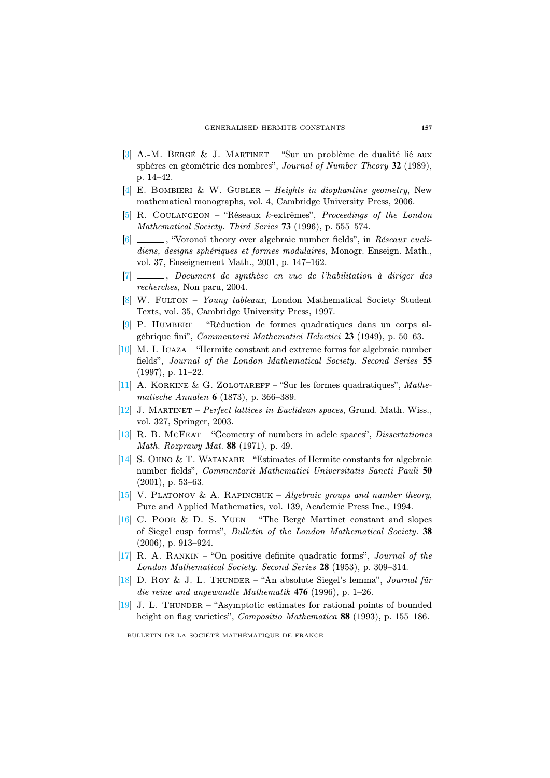- <span id="page-31-5"></span><span id="page-31-2"></span>[3] A.-M. Bergé & J. Martinet – "Sur un problème de dualité lié aux sphères en géométrie des nombres", Journal of Number Theory **32** (1989), p. 14–42.
- [4] E. BOMBIERI & W. GUBLER Heights in diophantine geometry, New mathematical monographs, vol. 4, Cambridge University Press, 2006.
- <span id="page-31-3"></span>[5] R. Coulangeon – "Réseaux k-extrêmes", Proceedings of the London Mathematical Society. Third Series **73** (1996), p. 555–574.
- <span id="page-31-6"></span>[6] \_\_\_\_, "Voronoï theory over algebraic number fields", in Réseaux euclidiens, designs sphériques et formes modulaires, Monogr. Enseign. Math., vol. 37, Enseignement Math., 2001, p. 147–162.
- <span id="page-31-0"></span>[7] , Document de synthèse en vue de l'habilitation à diriger des recherches, Non paru, 2004.
- [8] W. Fulton Young tableaux, London Mathematical Society Student Texts, vol. 35, Cambridge University Press, 1997.
- <span id="page-31-7"></span>[9] P. Humbert – "Réduction de formes quadratiques dans un corps algébrique fini", Commentarii Mathematici Helvetici **23** (1949), p. 50–63.
- [10] M. I. Icaza "Hermite constant and extreme forms for algebraic number fields", Journal of the London Mathematical Society. Second Series **55** (1997), p. 11–22.
- <span id="page-31-9"></span>[11] A. KORKINE & G. ZOLOTAREFF – "Sur les formes quadratiques", Mathematische Annalen **6** (1873), p. 366–389.
- [12] J. Martinet Perfect lattices in Euclidean spaces, Grund. Math. Wiss., vol. 327, Springer, 2003.
- <span id="page-31-8"></span>[13] R. B. McFeat – "Geometry of numbers in adele spaces", Dissertationes Math. Rozprawy Mat. **88** (1971), p. 49.
- <span id="page-31-1"></span>[14] S. OHNO & T. WATANABE – "Estimates of Hermite constants for algebraic number fields", Commentarii Mathematici Universitatis Sancti Pauli **50** (2001), p. 53–63.
- [15] V. PLATONOV & A. RAPINCHUK Algebraic groups and number theory, Pure and Applied Mathematics, vol. 139, Academic Press Inc., 1994.
- <span id="page-31-4"></span>[16] C. Poor & D. S. Yuen – "The Bergé–Martinet constant and slopes of Siegel cusp forms", Bulletin of the London Mathematical Society. **38** (2006), p. 913–924.
- [17] R. A. Rankin "On positive definite quadratic forms", Journal of the London Mathematical Society. Second Series **28** (1953), p. 309–314.
- [18] D. Roy & J. L. THUNDER "An absolute Siegel's lemma", Journal für die reine und angewandte Mathematik **476** (1996), p. 1–26.
- [19] J. L. THUNDER "Asymptotic estimates for rational points of bounded height on flag varieties", Compositio Mathematica **88** (1993), p. 155–186.